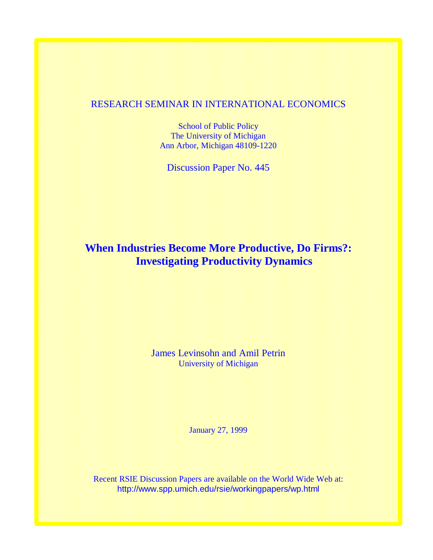## RESEARCH SEMINAR IN INTERNATIONAL ECONOMICS

School of Public Policy The University of Michigan Ann Arbor, Michigan 48109-1220

Discussion Paper No. 445

# **When Industries Become More Productive, Do Firms?: Investigating Productivity Dynamics**

James Levinsohn and Amil Petrin University of Michigan

January 27, 1999

Recent RSIE Discussion Papers are available on the World Wide Web at: http://www.spp.umich.edu/rsie/workingpapers/wp.html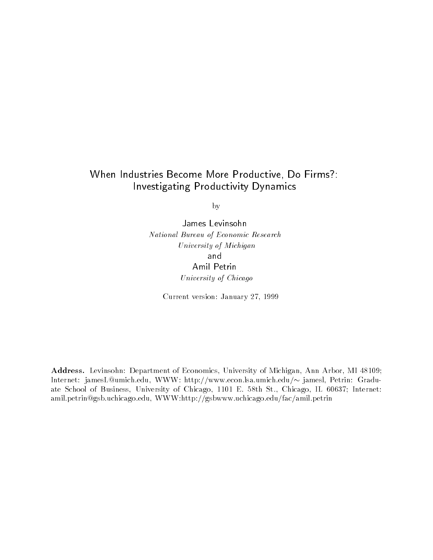## When Industries Become More Productive, Do Firms?:Investigating Productivity Dynamics

by

James Levinsohn National Bureau of Economic Research University of Michigan and Amil Petrin University of Chicago

Current version: January 27, 1999

Address. Levinsohn: Department of Economics, University of Michigan, Ann Arbor, MI 48109; Internet: jamesL@umich.edu, WWW: http://www.econ.lsa.umich.edu/~ jamesl, Petrin: Graduate School of Business, University of Chicago, 1101 E. 58th St., Chicago, IL 60637; Internet: amil.petrin@gsb.uchicago.edu, WWW:http://gsbwww.uchicago.edu/fac/amil.petrin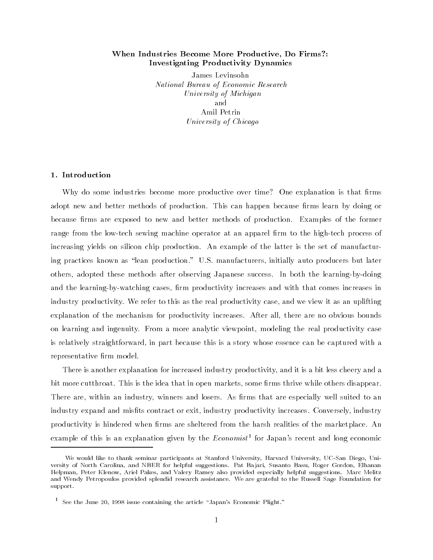## When Industries Become More Productive, Do Firms?: Investigating Productivity Dynamics

James Levinsohn National Bureau of Economic Research University of Michigan and Amil Petrin University of Chicago

#### 1. Introduction

Why do some industries become more productive over time? One explanation is that firms adopt new and better methods of production. This can happen because firms learn by doing or because firms are exposed to new and better methods of production. Examples of the former range from the low-tech sewing machine operator at an apparel firm to the high-tech process of increasing yields on silicon chip production. An example of the latter is the set of manufacturing practices known as "lean production." U.S. manufacturers, initially auto producers but later others, adopted these methods after observing Japanese success. In both the learning-by-doing and the learning-by-watching cases, firm productivity increases and with that comes increases in industry productivity. We refer to this as the real productivity case, and we view it as an uplifting explanation of the mechanism for productivity increases. After all, there are no obvious bounds on learning and ingenuity. From a more analytic viewpoint, modeling the real productivity case is relatively straightforward, in part because this is a story whose essence can be captured with a representative firm model.

There is another explanation for increased industry productivity, and it is a bit less cheery and a bit more cutthroat. This is the idea that in open markets, some firms thrive while others disappear. There are, within an industry, winners and losers. As firms that are especially well suited to an industry expand and mists contract or exit, industry productivity increases. Conversely, industry productivity is hindered when firms are sheltered from the harsh realities of the marketplace. An example of this is an explanation given by the  $Economics<sup>t</sup>$  for Japan's recent and long economic

We would like to thank seminar participants at Stanford University, Harvard University, UC-San Diego, Uni versity of North Carolina, and NBER for helpful suggestions. Pat Ba jari, Susanto Basu, Roger Gordon, Elhanan Helpman, Peter Klenow, Ariel Pakes, and Valery Ramey also provided especially helpful suggestions. Marc Melitz and Wendy Petropoulos provided splendid research assistance. We are grateful to the Russell Sage Foundation for support.

<sup>&</sup>lt;sup>1</sup> See the June 20, 1998 issue containing the article "Japan's Economic Plight."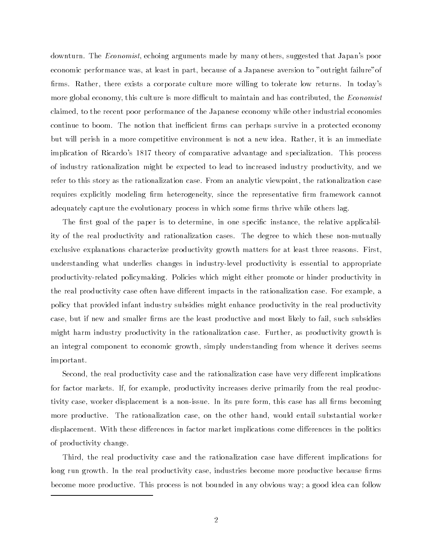downturn. The Economist, echoing arguments made by many others, suggested that Japan's poor economic performance was, at least in part, because of a Japanese aversion to "outright failure"of firms. Rather, there exists a corporate culture more willing to tolerate low returns. In today's more global economy, this culture is more difficult to maintain and has contributed, the *Economist* claimed, to the recent poor performance of the Japanese economy while other industrial economies continue to boom. The notion that inefficient firms can perhaps survive in a protected economy but will perish in a more competitive environment is not a new idea. Rather, it is an immediate implication of Ricardo's 1817 theory of comparative advantage and specialization. This process of industry rationalization might be expected to lead to increased industry productivity, and we refer to this story as the rationalization case. From an analytic viewpoint, the rationalization case requires explicitly modeling firm heterogeneity, since the representative firm framework cannot adequately capture the evolutionary process in which some firms thrive while others lag.

The first goal of the paper is to determine, in one specific instance, the relative applicability of the real productivity and rationalization cases. The degree to which these non-mutually exclusive explanations characterize productivity growth matters for at least three reasons. First, understanding what underlies changes in industry-level productivity is essential to appropriate productivity-related policymaking. Policies which might either promote or hinder productivity in the real productivity case often have different impacts in the rationalization case. For example, a policy that provided infant industry subsidies might enhance productivity in the real productivity case, but if new and smaller firms are the least productive and most likely to fail, such subsidies might harm industry productivity in the rationalization case. Further, as productivity growth is an integral component to economic growth, simply understanding from whence it derives seems important.

Second, the real productivity case and the rationalization case have very different implications for factor markets. If, for example, productivity increases derive primarily from the real productivity case, worker displacement is a non-issue. In its pure form, this case has all firms becoming more productive. The rationalization case, on the other hand, would entail substantial worker displacement. With these differences in factor market implications come differences in the politics of productivity change.

Third, the real productivity case and the rationalization case have different implications for long run growth. In the real productivity case, industries become more productive because firms become more productive. This process is not bounded in any obvious way; a good idea can follow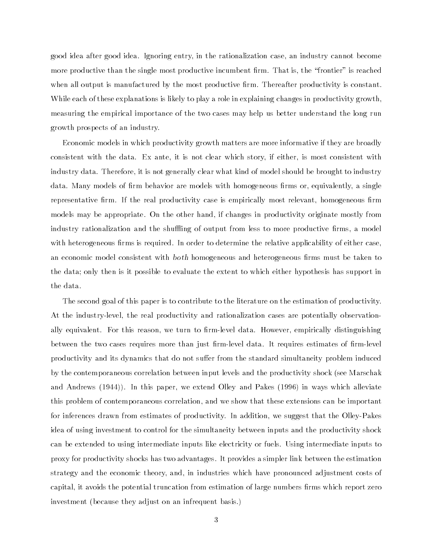good idea after good idea. Ignoring entry, in the rationalization case, an industry cannot become more productive than the single most productive incumbent firm. That is, the "frontier" is reached when all output is manufactured by the most productive firm. Thereafter productivity is constant. While each of these explanations is likely to play a role in explaining changes in productivity growth, measuring the empirical importance of the two cases may help us better understand the long run growth prospects of an industry.

Economic models in which productivity growth matters are more informative if they are broadly consistent with the data. Ex ante, it is not clear which story, if either, is most consistent with industry data. Therefore, it is not generally clear what kind of model should be brought to industry data. Many models of firm behavior are models with homogeneous firms or, equivalently, a single representative firm. If the real productivity case is empirically most relevant, homogeneous firm models may be appropriate. On the other hand, if changes in productivity originate mostly from industry rationalization and the shuffling of output from less to more productive firms, a model with heterogeneous firms is required. In order to determine the relative applicability of either case, an economic model consistent with *both* homogeneous and heterogeneous firms must be taken to the data; only then is it possible to evaluate the extent to which either hypothesis has support in the data.

The second goal of this paper is to contribute to the literature on the estimation of productivity. At the industry-level, the real productivity and rationalization cases are potentially observationally equivalent. For this reason, we turn to firm-level data. However, empirically distinguishing between the two cases requires more than just firm-level data. It requires estimates of firm-level productivity and its dynamics that do not suffer from the standard simultaneity problem induced by the contemporaneous correlation between input levels and the productivity shock (see Marschak and Andrews (1944)). In this paper, we extend Olley and Pakes (1996) in ways which alleviate this problem of contemporaneous correlation, and we show that these extensions can be important for inferences drawn from estimates of productivity. In addition, we suggest that the Olley-Pakes idea of using investment to control for the simultaneity between inputs and the productivity shock can be extended to using intermediate inputs like electricity or fuels. Using intermediate inputs to proxy for productivity shocks has two advantages. It provides a simpler link between the estimation strategy and the economic theory, and, in industries which have pronounced adjustment costs of capital, it avoids the potential truncation from estimation of large numbers firms which report zero investment (because they adjust on an infrequent basis.)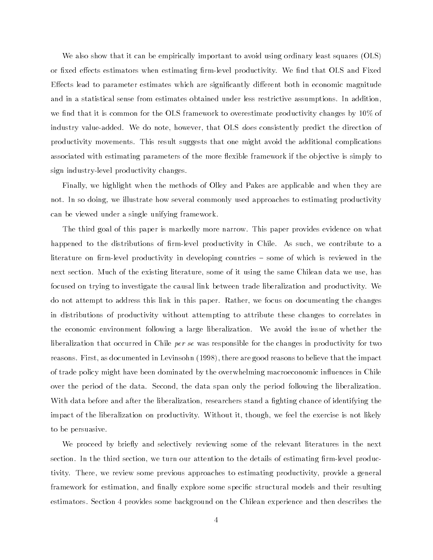We also show that it can be empirically important to avoid using ordinary least squares (OLS) or fixed effects estimators when estimating firm-level productivity. We find that OLS and Fixed Effects lead to parameter estimates which are significantly different both in economic magnitude and in a statistical sense from estimates obtained under less restrictive assumptions. In addition, we find that it is common for the OLS framework to overestimate productivity changes by  $10\%$  of industry value-added. We do note, however, that OLS does consistently predict the direction of productivity movements. This result suggests that one might avoid the additional complications associated with estimating parameters of the more flexible framework if the objective is simply to sign industry-level productivity changes.

Finally, we highlight when the methods of Olley and Pakes are applicable and when they are not. In so doing, we illustrate how several commonly used approaches to estimating productivity can be viewed under a single unifying framework.

The third goal of this paper is markedly more narrow. This paper provides evidence on what happened to the distributions of firm-level productivity in Chile. As such, we contribute to a literature on firm-level productivity in developing countries – some of which is reviewed in the next section. Much of the existing literature, some of it using the same Chilean data we use, has focused on trying to investigate the causal link between trade liberalization and productivity. We do not attempt to address this link in this paper. Rather, we focus on documenting the changes in distributions of productivity without attempting to attribute these changes to correlates in the economic environment following a large liberalization. We avoid the issue of whether the liberalization that occurred in Chile *per se* was responsible for the changes in productivity for two reasons. First, as documented in Levinsohn (1998), there are good reasons to believe that the impact of trade policy might have been dominated by the overwhelming macroeconomic influences in Chile over the period of the data. Second, the data span only the period following the liberalization. With data before and after the liberalization, researchers stand a fighting chance of identifying the impact of the liberalization on productivity. Without it, though, we feel the exercise is not likely to be persuasive.

We proceed by briefly and selectively reviewing some of the relevant literatures in the next section. In the third section, we turn our attention to the details of estimating firm-level productivity. There, we review some previous approaches to estimating productivity, provide a general framework for estimation, and finally explore some specific structural models and their resulting estimators. Section 4 provides some background on the Chilean experience and then describes the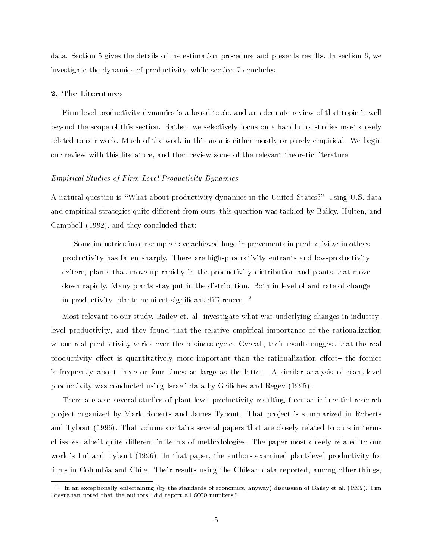data. Section 5 gives the details of the estimation procedure and presents results. In section 6, we investigate the dynamics of productivity, while section 7 concludes.

#### 2. The Literatures

Firm-level productivity dynamics is a broad topic, and an adequate review of that topic is well beyond the scope of this section. Rather, we selectively focus on a handful of studies most closely related to our work. Much of the work in this area is either mostly or purely empirical. We begin our review with this literature, and then review some of the relevant theoretic literature.

## Empirical Studies of Firm-Level Productivity Dynamics

A natural question is \What about productivity dynamics in the United States?" Using U.S. data and empirical strategies quite different from ours, this question was tackled by Bailey, Hulten, and Campbell (1992), and they concluded that:

Some industries in our sample have achieved huge improvements in productivity; in others productivity has fallen sharply. There are high-productivity entrants and low-productivity exiters, plants that move up rapidly in the productivity distribution and plants that move down rapidly. Many plants stay put in the distribution. Both in level of and rate of change in productivity, plants manifest significant differences.  $2$ 

Most relevant to our study, Bailey et. al. investigate what was underlying changes in industrylevel productivity, and they found that the relative empirical importance of the rationalization versus real productivity varies over the business cycle. Overall, their results suggest that the real productivity effect is quantitatively more important than the rationalization effect- the former is frequently about three or four times as large as the latter. A similar analysis of plant-level productivity was conducted using Israeli data by Griliches and Regev (1995).

There are also several studies of plant-level productivity resulting from an influential research pro ject organized by Mark Roberts and James Tybout. That pro ject is summarized in Roberts and Tybout (1996). That volume contains several papers that are closely related to ours in terms of issues, albeit quite different in terms of methodologies. The paper most closely related to our work is Lui and Tybout (1996). In that paper, the authors examined plant-level productivity for firms in Columbia and Chile. Their results using the Chilean data reported, among other things.

<sup>2</sup> In an exceptionally entertaining (by the standards of economics, anyway) discussion of Bailey et al. (1992), Tim Bresnahan noted that the authors "did report all 6000 numbers."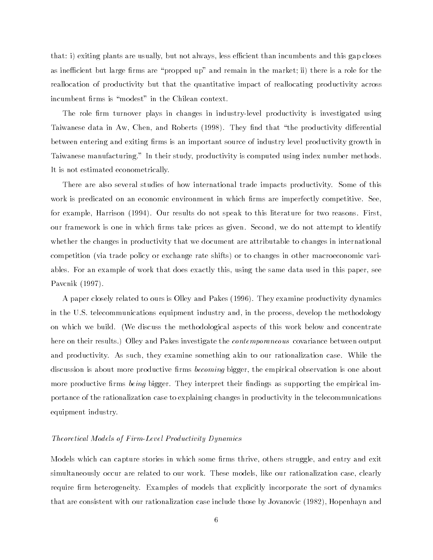that: i) exiting plants are usually, but not always, less efficient than incumbents and this gap closes as inefficient but large firms are "propped up" and remain in the market; ii) there is a role for the reallocation of productivity but that the quantitative impact of reallocating productivity across incumbent firms is "modest" in the Chilean context.

The role firm turnover plays in changes in industry-level productivity is investigated using Taiwanese data in Aw, Chen, and Roberts (1998). They find that "the productivity differential between entering and exiting firms is an important source of industry level productivity growth in Taiwanese manufacturing." In their study, productivity is computed using index number methods. It is not estimated econometrically.

There are also several studies of how international trade impacts productivity. Some of this work is predicated on an economic environment in which firms are imperfectly competitive. See, for example, Harrison (1994). Our results do not speak to this literature for two reasons. First, our framework is one in which firms take prices as given. Second, we do not attempt to identify whether the changes in productivity that we document are attributable to changes in international competition (via trade policy or exchange rate shifts) or to changes in other macroeconomic variables. For an example of work that does exactly this, using the same data used in this paper, see Pavcnik (1997).

A paper closely related to ours is Olley and Pakes (1996). They examine productivity dynamics in the U.S. telecommunications equipment industry and, in the process, develop the methodology on which we build. (We discuss the methodological aspects of this work below and concentrate here on their results.) Olley and Pakes investigate the *contemporaneous* covariance between output and productivity. As such, they examine something akin to our rationalization case. While the discussion is about more productive firms *becoming* bigger, the empirical observation is one about more productive firms being bigger. They interpret their findings as supporting the empirical importance of the rationalization case to explaining changes in productivity in the telecommunications equipment industry.

## Theoretical Models of Firm-Level Productivity Dynamics

Models which can capture stories in which some firms thrive, others struggle, and entry and exit simultaneously occur are related to our work. These models, like our rationalization case, clearly require firm heterogeneity. Examples of models that explicitly incorporate the sort of dynamics that are consistent with our rationalization case include those by Jovanovic (1982), Hopenhayn and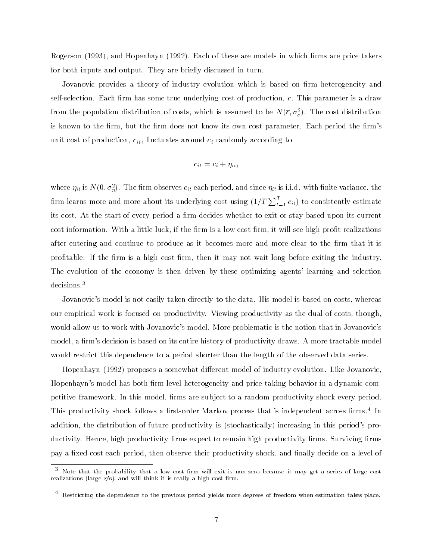Rogerson (1993), and Hopenhayn (1992). Each of these are models in which firms are price takers for both inputs and output. They are briefly discussed in turn.

Jovanovic provides a theory of industry evolution which is based on firm heterogeneity and self-selection. Each firm has some true underlying cost of production,  $c$ . This parameter is a draw from the population distribution of costs, which is assumed to be *N*( $c, \sigma_z$ ). The cost distribution is known to the firm, but the firm does not know its own cost parameter. Each period the firm's unit cost of production,  $c_{it}$ , fluctuates around  $c_i$  randomly according to

$$
c_{it} = c_i + \eta_{it},
$$

where  $\eta_{it}$  is N(0,  $\sigma_n$ ). The limit observes  $c_{it}$  each period, and since  $\eta_{it}$  is i.i.d. with limite variance, the firm learns more and more about its underlying cost using  $(1/T\sum_{t=1}^T c_{it})$  to consistently estimate its cost. At the start of every period a firm decides whether to exit or stay based upon its current cost information. With a little luck, if the firm is a low cost firm, it will see high profit realizations after entering and continue to produce as it becomes more and more clear to the firm that it is profitable. If the firm is a high cost firm, then it may not wait long before exiting the industry. The evolution of the economy is then driven by these optimizing agents' learning and selection decisions.3

Jovanovic's model is not easily taken directly to the data. His model is based on costs, whereas our empirical work is focused on productivity. Viewing productivity as the dual of costs, though, would allow us to work with Jovanovic's model. More problematic is the notion that in Jovanovic's model, a firm's decision is based on its entire history of productivity draws. A more tractable model would restrict this dependence to a period shorter than the length of the observed data series.

Hopenhayn (1992) proposes a somewhat different model of industry evolution. Like Jovanovic, Hopenhayn's model has both firm-level heterogeneity and price-taking behavior in a dynamic competitive framework. In this model, firms are subject to a random productivity shock every period. This productivity shock follows a rst-order Markov process that is independent across rms.4 In addition, the distribution of future productivity is (stochastically) increasing in this period's productivity. Hence, high productivity firms expect to remain high productivity firms. Surviving firms pay a fixed cost each period, then observe their productivity shock, and finally decide on a level of

<sup>3</sup> Note that the probability that a low cost rm will exit is non-zero because it may get a series of large cost realizations (large  $\eta$ 's), and will think it is really a high cost firm.

<sup>4</sup> Restricting the dependence to the previous period yields more degrees of freedom when estimation takes place.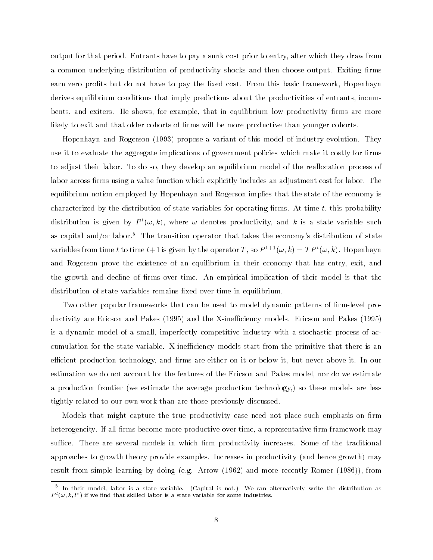output for that period. Entrants have to pay a sunk cost prior to entry, after which they draw from a common underlying distribution of productivity shocks and then choose output. Exiting firms earn zero profits but do not have to pay the fixed cost. From this basic framework, Hopenhayn derives equilibrium conditions that imply predictions about the productivities of entrants, incumbents, and exiters. He shows, for example, that in equilibrium low productivity firms are more likely to exit and that older cohorts of firms will be more productive than younger cohorts.

Hopenhayn and Rogerson (1993) propose a variant of this model of industry evolution. They use it to evaluate the aggregate implications of government policies which make it costly for firms to adjust their labor. To do so, they develop an equilibrium model of the reallocation process of labor across firms using a value function which explicitly includes an adjustment cost for labor. The equilibrium notion employed by Hopenhayn and Rogerson implies that the state of the economy is characterized by the distribution of state variables for operating firms. At time  $t$ , this probability distribution is given by  $P^t(\omega, k)$ , where  $\omega$  denotes productivity, and k is a state variable such as capital and/or labor.<sup>5</sup> The transition operator that takes the economy's distribution of state variables from time t to time  $t+1$  is given by the operator T, so  $P^{t+1}(\omega,k) = TP^t(\omega,k)$ . Hopenhayn and Rogerson prove the existence of an equilibrium in their economy that has entry, exit, and the growth and decline of firms over time. An empirical implication of their model is that the distribution of state variables remains fixed over time in equilibrium.

Two other popular frameworks that can be used to model dynamic patterns of firm-level productivity are Ericson and Pakes (1995) and the X-inefficiency models. Ericson and Pakes (1995) is a dynamic model of a small, imperfectly competitive industry with a stochastic process of accumulation for the state variable. X-inefficiency models start from the primitive that there is an efficient production technology, and firms are either on it or below it, but never above it. In our estimation we do not account for the features of the Ericson and Pakes model, nor do we estimate a production frontier (we estimate the average production technology,) so these models are less tightly related to our own work than are those previously discussed.

Models that might capture the true productivity case need not place such emphasis on firm heterogeneity. If all firms become more productive over time, a representative firm framework may suffice. There are several models in which firm productivity increases. Some of the traditional approaches to growth theory provide examples. Increases in productivity (and hence growth) may result from simple learning by doing (e.g. Arrow (1962) and more recently Romer (1986)), from

<sup>5</sup> In their model, labor is a state variable. (Capital is not.) We can alternatively write the distribution as  $P^-(\omega,\kappa,\iota^*)$  if we find that skilled labor is a state variable for some industries.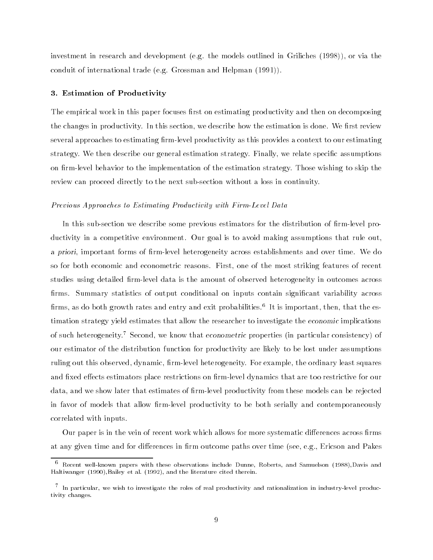investment in research and development (e.g. the models outlined in Griliches (1998)), or via the conduit of international trade (e.g. Grossman and Helpman (1991)).

## 3. Estimation of Productivity

The empirical work in this paper focuses first on estimating productivity and then on decomposing the changes in productivity. In this section, we describe how the estimation is done. We first review several approaches to estimating firm-level productivity as this provides a context to our estimating strategy. We then describe our general estimation strategy. Finally, we relate specific assumptions on firm-level behavior to the implementation of the estimation strategy. Those wishing to skip the review can proceed directly to the next sub-section without a loss in continuity.

#### Previous Approaches to Estimating Productivity with Firm-Level Data

In this sub-section we describe some previous estimators for the distribution of firm-level productivity in a competitive environment. Our goal is to avoid making assumptions that rule out, a priori, important forms of firm-level heterogeneity across establishments and over time. We do so for both economic and econometric reasons. First, one of the most striking features of recent studies using detailed firm-level data is the amount of observed heterogeneity in outcomes across firms. Summary statistics of output conditional on inputs contain significant variability across iffins, as do both growth rates and entry and exit probabilities. This important, then, that the estimation strategy yield estimates that allow the researcher to investigate the economic implications of such heterogeneity.<sup>7</sup> Second, we know that econometric properties (in particular consistency) of our estimator of the distribution function for productivity are likely to be lost under assumptions ruling out this observed, dynamic, firm-level heterogeneity. For example, the ordinary least squares and fixed effects estimators place restrictions on firm-level dynamics that are too restrictive for our data, and we show later that estimates of firm-level productivity from these models can be rejected in favor of models that allow firm-level productivity to be both serially and contemporaneously correlated with inputs.

Our paper is in the vein of recent work which allows for more systematic differences across firms at any given time and for differences in firm outcome paths over time (see, e.g., Ericson and Pakes

<sup>6</sup> Recent well-known papers with these observations include Dunne, Roberts, and Samuelson (1988),Davis and Haltiwanger (1990),Bailey et al. (1992), and the literature cited therein.

<sup>7</sup> In particular, we wish to investigate the roles of real productivity and rationalization in industry-level productivity changes.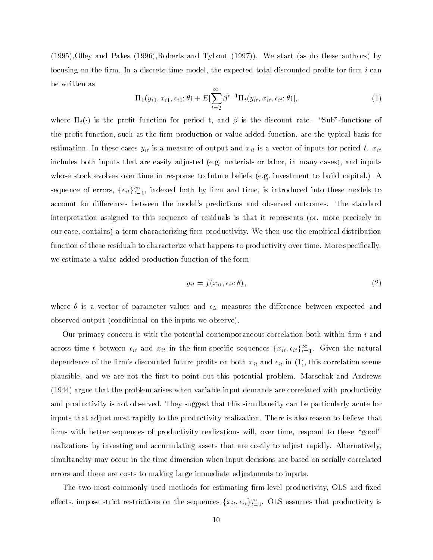(1995),Olley and Pakes (1996),Roberts and Tybout (1997)). We start (as do these authors) by focusing on the firm. In a discrete time model, the expected total discounted profits for firm  $i$  can be written as

$$
\Pi_1(y_{i1}, x_{i1}, \epsilon_{i1}; \theta) + E[\sum_{t=2}^{\infty} \beta^{t-1} \Pi_t(y_{it}, x_{it}, \epsilon_{it}; \theta)], \qquad (1)
$$

where  $\Pi_t(\cdot)$  is the profit function for period t, and  $\beta$  is the discount rate. "Sub"-functions of the profit function, such as the firm production or value-added function, are the typical basis for estimation. In these cases  $y_{it}$  is a measure of output and  $x_{it}$  is a vector of inputs for period t.  $x_{it}$ includes both inputs that are easily adjusted (e.g. materials or labor, in many cases), and inputs whose stock evolves over time in response to future beliefs (e.g. investment to build capital.) A sequence of errors,  $\{\epsilon_{it}\}_{t=1}^t$ , indexed both by firm and time, is introduced into these models to account for differences between the model's predictions and observed outcomes. The standard interpretation assigned to this sequence of residuals is that it represents (or, more precisely in our case, contains) a term characterizing firm productivity. We then use the empirical distribution function of these residuals to characterize what happens to productivity over time. More specically, we estimate a value added production function of the form

$$
y_{it} = f(x_{it}, \epsilon_{it}; \theta), \tag{2}
$$

where  $\theta$  is a vector of parameter values and  $\epsilon_{it}$  measures the difference between expected and observed output (conditional on the inputs we observe).

Our primary concern is with the potential contemporaneous correlation both within firm  $i$  and across time t between  $\epsilon_{it}$  and  $x_{it}$  in the firm-specific sequences  $\{\overline{x}_{it},\overline{\epsilon}_{it}\}_{\overline{t}=1}$ . Given the natural dependence of the firm's discounted future profits on both  $x_{it}$  and  $\epsilon_{it}$  in (1), this correlation seems plausible, and we are not the first to point out this potential problem. Marschak and Andrews (1944) argue that the problem arises when variable input demands are correlated with productivity and productivity is not observed. They suggest that this simultaneity can be particularly acute for inputs that adjust most rapidly to the productivity realization. There is also reason to believe that firms with better sequences of productivity realizations will, over time, respond to these "good" realizations by investing and accumulating assets that are costly to adjust rapidly. Alternatively, simultaneity may occur in the time dimension when input decisions are based on serially correlated errors and there are costs to making large immediate adjustments to inputs.

The two most commonly used methods for estimating firm-level productivity, OLS and fixed enects, impose strict restrictions on the sequences  $\{x_{it}, \epsilon_{it}\}_{t=1}$ . OLS assumes that productivity is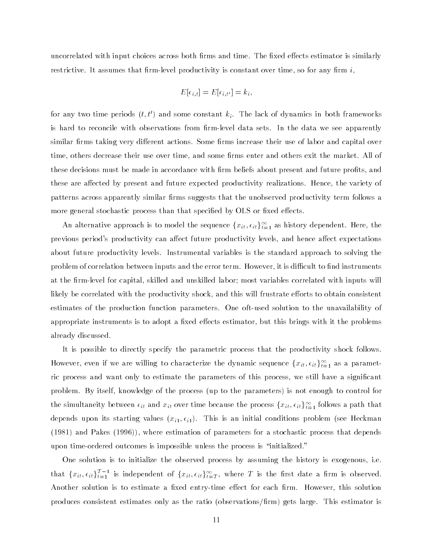uncorrelated with input choices across both firms and time. The fixed effects estimator is similarly restrictive. It assumes that firm-level productivity is constant over time, so for any firm  $i$ ,

$$
E[\epsilon_{i,t}] = E[\epsilon_{i,t'}] = k_i,
$$

for any two time periods  $(t, t')$  and some constant  $k_i$ . The lack of dynamics in both frameworks is hard to reconcile with observations from firm-level data sets. In the data we see apparently similar firms taking very different actions. Some firms increase their use of labor and capital over time, others decrease their use over time, and some firms enter and others exit the market. All of these decisions must be made in accordance with firm beliefs about present and future profits, and these are affected by present and future expected productivity realizations. Hence, the variety of patterns across apparently similar firms suggests that the unobserved productivity term follows a more general stochastic process than that specified by OLS or fixed effects.

An alternative approach is to model the sequence  $\{x_{it}, \epsilon_{it}\}_{t=1}^r$  as history dependent. Here, the previous period's productivity can affect future productivity levels, and hence affect expectations about future productivity levels. Instrumental variables is the standard approach to solving the problem of correlation between inputs and the error term. However, it is difficult to find instruments at the firm-level for capital, skilled and unskilled labor; most variables correlated with inputs will likely be correlated with the productivity shock, and this will frustrate efforts to obtain consistent estimates of the production function parameters. One oft-used solution to the unavailability of appropriate instruments is to adopt a fixed effects estimator, but this brings with it the problems already discussed.

It is possible to directly specify the parametric process that the productivity shock follows. However, even if we are willing to characterize the dynamic sequence  $\{x_{it}, \epsilon_{it}\}_{t=1}$  as a parametric process and want only to estimate the parameters of this process, we still have a signicant problem. By itself, knowledge of the process (up to the parameters) is not enough to control for the simultaneity between  $\epsilon_{it}$  and  $x_{it}$  over time because the process  $\{x_{it}, \epsilon_{it}\}_{t=1}$  follows a path that depends upon its starting values  $(x_{i1}, \epsilon_{i1})$ . This is an initial conditions problem (see Heckman (1981) and Pakes (1996)), where estimation of parameters for a stochastic process that depends upon time-ordered outcomes is impossible unless the process is "initialized."

One solution is to initialize the observed process by assuming the history is exogenous, i.e. that  $\{x_{it}, \epsilon_{it}\}_{t=1}^{\tau}$  is independent of  $\{x_{it}, \epsilon_{it}\}_{t=T}^{\tau},$  where  $T$  is the first date a firm is observed. Another solution is to estimate a fixed entry-time effect for each firm. However, this solution produces consistent estimates only as the ratio (observations/firm) gets large. This estimator is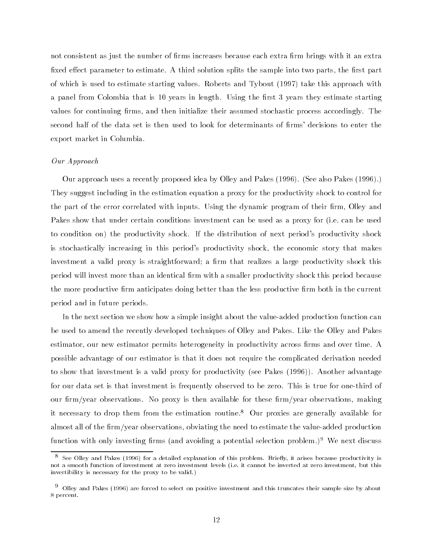not consistent as just the number of firms increases because each extra firm brings with it an extra fixed effect parameter to estimate. A third solution splits the sample into two parts, the first part of which is used to estimate starting values. Roberts and Tybout (1997) take this approach with a panel from Colombia that is 10 years in length. Using the first 3 years they estimate starting values for continuing firms, and then initialize their assumed stochastic process accordingly. The second half of the data set is then used to look for determinants of firms' decisions to enter the export market in Columbia.

#### Our Approach

Our approach uses a recently proposed idea by Olley and Pakes (1996). (See also Pakes (1996).) They suggest including in the estimation equation a proxy for the productivity shock to control for the part of the error correlated with inputs. Using the dynamic program of their firm, Olley and Pakes show that under certain conditions investment can be used as a proxy for (i.e. can be used to condition on) the productivity shock. If the distribution of next period's productivity shock is stochastically increasing in this period's productivity shock, the economic story that makes investment a valid proxy is straightforward; a firm that realizes a large productivity shock this period will invest more than an identical firm with a smaller productivity shock this period because the more productive firm anticipates doing better than the less productive firm both in the current period and in future periods.

In the next section we show how a simple insight about the value-added production function can be used to amend the recently developed techniques of Olley and Pakes. Like the Olley and Pakes estimator, our new estimator permits heterogeneity in productivity across firms and over time. A possible advantage of our estimator is that it does not require the complicated derivation needed to show that investment is a valid proxy for productivity (see Pakes (1996)). Another advantage for our data set is that investment is frequently observed to be zero. This is true for one-third of our firm/year observations. No proxy is then available for these firm/year observations, making it necessary to drop them from the estimation routine.8 Our proxies are generally available for almost all of the firm/year observations, obviating the need to estimate the value-added production function with only investing firms (and avoiding a potential selection problem.)<sup>9</sup> We next discuss

 $^\circ$  See Olley and Pakes (1996) for a detailed explanation of this problem. Briefly, it arises because productivity is not a smooth function of investment at zero investment levels (i.e. it cannot be inverted at zero investment, but this invertibility is necessary for the proxy to be valid.)

<sup>9</sup> Olley and Pakes (1996) are forced to select on positive investment and this truncates their sample size by about 8 percent.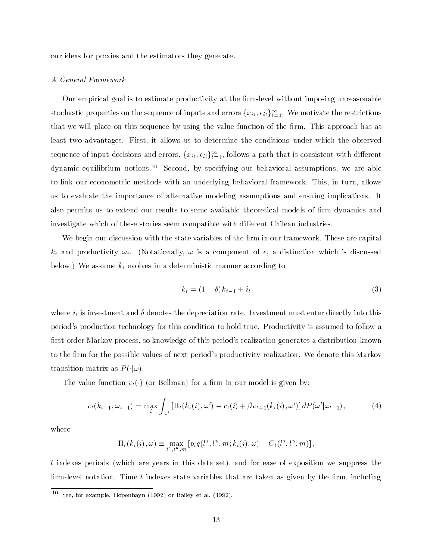our ideas for proxies and the estimators they generate.

#### A General Framework

Our empirical goal is to estimate productivity at the firm-level without imposing unreasonable stochastic properties on the sequence of inputs and errors  $\{x_{it}, \epsilon_{it}\}_{t=1}$ . We motivate the restrictions that we will place on this sequence by using the value function of the firm. This approach has at least two advantages. First, it allows us to determine the conditions under which the observed sequence of input decisions and errors,  $\{x_{it}, \epsilon_{it}\}_{i=1}^r,$  follows a path that is consistent with different dynamic equilibrium notions.10 Second, by specifying our behavioral assumptions, we are able to link our econometric methods with an underlying behavioral framework. This, in turn, allows us to evaluate the importance of alternative modeling assumptions and ensuing implications. It also permits us to extend our results to some available theoretical models of firm dynamics and investigate which of these stories seem compatible with different Chilean industries.

We begin our discussion with the state variables of the firm in our framework. These are capital  $k_t$  and productivity  $\omega_t$ . (Notationally,  $\omega$  is a component of  $\epsilon$ , a distinction which is discussed below.) We assume  $k_t$  evolves in a deterministic manner according to

$$
k_t = (1 - \delta)k_{t-1} + i_t \tag{3}
$$

where  $i_t$  is investment and  $\delta$  denotes the depreciation rate. Investment must enter directly into this period's production technology for this condition to hold true. Productivity is assumed to follow a first-order Markov process, so knowledge of this period's realization generates a distribution known to the firm for the possible values of next period's productivity realization. We denote this Markov transition matrix as  $P(\cdot|\omega)$ .

The value function  $v_t(\cdot)$  (or Bellman) for a firm in our model is given by:

$$
v_t(k_{t-1}, \omega_{t-1}) = \max_i \int_{\omega'} \left[ \Pi_t(k_t(i), \omega') - c_t(i) + \beta v_{t+1}(k_t(i), \omega') \right] dP(\omega'|\omega_{t-1}), \tag{4}
$$

where

$$
\Pi_t(k_t(i),\omega) \equiv \max_{l^s,l^u,m} \left[ p_t q(l^s,l^u,m;k_t(i),\omega) - C_t(l^s,l^u,m) \right],
$$

t indexes periods (which are years in this data set), and for ease of exposition we suppress the firm-level notation. Time  $t$  indexes state variables that are taken as given by the firm, including

<sup>10</sup> See, for example, Hopenhayn (1992) or Bailey et al. (1992).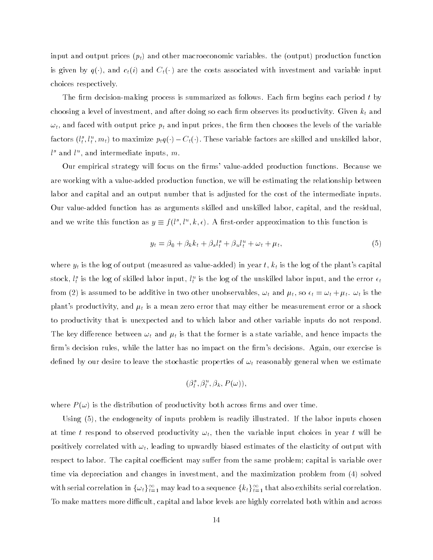input and output prices  $(p_t)$  and other macroeconomic variables. the (output) production function is given by  $q(\cdot)$ , and  $c_t(i)$  and  $C_t(\cdot)$  are the costs associated with investment and variable input choices respectively.

The firm decision-making process is summarized as follows. Each firm begins each period  $t$  by choosing a level of investment, and after doing so each firm observes its productivity. Given  $k_t$  and  $\omega_t$ , and faced with output price  $p_t$  and input prices, the firm then chooses the levels of the variable factors  $(t_t^*, t_t^*, m_t)$  to maximize  $p_t q(\cdot) - C_t(\cdot).$  I nese variable factors are skilled and unskilled labor,  $\iota^+$  and  $\iota^-$ , and intermediate inputs,  $m$ .

Our empirical strategy will focus on the firms' value-added production functions. Because we are working with a value-added production function, we will be estimating the relationship between labor and capital and an output number that is adjusted for the cost of the intermediate inputs. Our value-added function has as arguments skilled and unskilled labor, capital, and the residual, and we write this function as  $y \equiv f(t^*, t^*, \kappa, \epsilon)$ . A first-order approximation to this function is

$$
y_t = \beta_0 + \beta_k k_t + \beta_s l_t^s + \beta_u l_t^u + \omega_t + \mu_t, \qquad (5)
$$

where  $y_t$  is the log of output (measured as value-added) in year  $t$ ,  $k_t$  is the log of the plant's capital stock,  $t_{\bar{t}}$  is the log of skilled labor input,  $t_{\bar{t}}$  is the log of the unskilled labor input, and the error  $\epsilon_t$ from (2) is assumed to be additive in two other unobservables,  $\omega_t$  and  $\mu_t$ , so  $\epsilon_t = \omega_t + \mu_t$ .  $\omega_t$  is the plant's productivity, and  $\mu_t$  is a mean zero error that may either be measurement error or a shock to productivity that is unexpected and to which labor and other variable inputs do not respond. The key difference between  $\omega_t$  and  $\mu_t$  is that the former is a state variable, and hence impacts the firm's decision rules, while the latter has no impact on the firm's decisions. Again, our exercise is defined by our desire to leave the stochastic properties of  $\omega_t$  reasonably general when we estimate

$$
(\beta^s_l,\beta^u_l,\beta_k,P(\omega))\,,
$$

where  $P(\omega)$  is the distribution of productivity both across firms and over time.

Using (5), the endogeneity of inputs problem is readily illustrated. If the labor inputs chosen at time t respond to observed productivity  $\omega_t$ , then the variable input choices in year t will be positively correlated with  $\omega_t$ , leading to upwardly biased estimates of the elasticity of output with respect to labor. The capital coefficient may suffer from the same problem; capital is variable over time via depreciation and changes in investment, and the maximization problem from (4) solved with serial correlation in  $\{\omega_t\}_{t=1}^{\infty}$  may lead to a sequence  $\{\kappa_t\}_{t=1}^{\infty}$  that also exhibits serial correlation. To make matters more difficult, capital and labor levels are highly correlated both within and across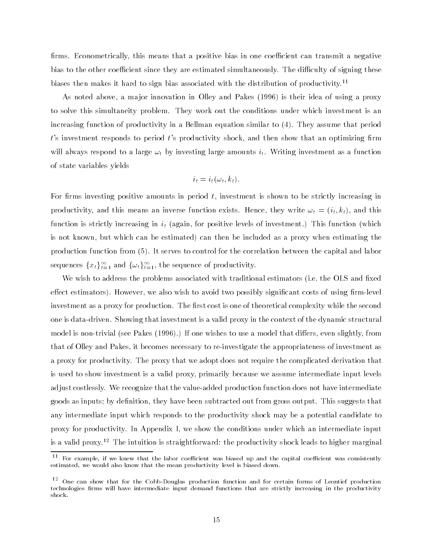firms. Econometrically, this means that a positive bias in one coefficient can transmit a negative bias to the other coefficient since they are estimated simultaneously. The difficulty of signing these biases then makes it hard to sign bias associated with the distribution of productivity.<sup>11</sup>

As noted above, a ma jor innovation in Olley and Pakes (1996) is their idea of using a proxy to solve this simultaneity problem. They work out the conditions under which investment is an increasing function of productivity in a Bellman equation similar to (4). They assume that period  $t$ 's investment responds to period  $t$ 's productivity shock, and then show that an optimizing firm will always respond to a large  $\omega_t$  by investing large amounts  $i_t$ . Writing investment as a function of state variables yields

$$
i_t = i_t(\omega_t, k_t).
$$

For firms investing positive amounts in period  $t$ , investment is shown to be strictly increasing in productivity, and this means an inverse function exists. Hence, they write  $\omega_t = (i_t, k_t)$ , and this function is strictly increasing in  $i_t$  (again, for positive levels of investment.) This function (which is not known, but which can be estimated) can then be included as a proxy when estimating the production function from (5). It serves to control for the correlation between the capital and labor sequences  $\{x_t\}_{t=1}^{\infty}$  and  $\{\omega_t\}_{t=1}^{\infty}$ , the sequence of productivity.

We wish to address the problems associated with traditional estimators (i.e. the OLS and fixed effect estimators). However, we also wish to avoid two possibly significant costs of using firm-level investment as a proxy for production. The first cost is one of theoretical complexity while the second one is data-driven. Showing that investment is a valid proxy in the context of the dynamic structural model is non-trivial (see Pakes (1996).) If one wishes to use a model that differs, even slightly, from that of Olley and Pakes, it becomes necessary to re-investigate the appropriateness of investment as a proxy for productivity. The proxy that we adopt does not require the complicated derivation that is used to show investment is a valid proxy, primarily because we assume intermediate input levels adjust costlessly. We recognize that the value-added production function does not have intermediate goods as inputs; by definition, they have been subtracted out from gross output. This suggests that any intermediate input which responds to the productivity shock may be a potential candidate to proxy for productivity. In Appendix I, we show the conditions under which an intermediate input is a valid proxy.<sup>12</sup> The intuition is straightforward: the productivity shock leads to higher marginal

<sup>11</sup> For example, if we knew that the labor coefficient was biased up and the capital coefficient was consistently estimated, we would also know that the mean productivity level is biased down.

<sup>12</sup> One can show that for the Cobb-Douglas production function and for certain forms of Leontief production technologies firms will have intermediate input demand functions that are strictly increasing in the productivity shock.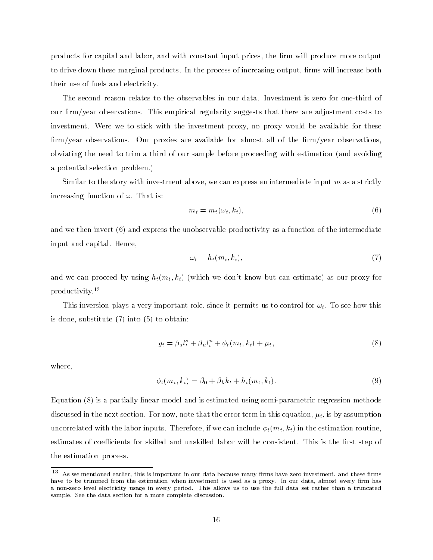products for capital and labor, and with constant input prices, the firm will produce more output to drive down these marginal products. In the process of increasing output, firms will increase both their use of fuels and electricity.

The second reason relates to the observables in our data. Investment is zero for one-third of our firm/year observations. This empirical regularity suggests that there are adjustment costs to investment. Were we to stick with the investment proxy, no proxy would be available for these  $\lim$ /year observations. Our proxies are available for almost all of the firm/year observations, obviating the need to trim a third of our sample before proceeding with estimation (and avoiding a potential selection problem.)

Similar to the story with investment above, we can express an intermediate input  $m$  as a strictly increasing function of  $\omega$ . That is:

$$
m_t = m_t(\omega_t, k_t), \tag{6}
$$

and we then invert (6) and express the unobservable productivity as a function of the intermediate input and capital. Hence,

$$
\omega_t = h_t(m_t, k_t),\tag{7}
$$

and we can proceed by using  $h_t(m_t, k_t)$  (which we don't know but can estimate) as our proxy for productivity.13

This inversion plays a very important role, since it permits us to control for  $\omega_t$ . To see how this is done, substitute (7) into (5) to obtain:

$$
y_t = \beta_s l_t^s + \beta_u l_t^u + \phi_t(m_t, k_t) + \mu_t,\tag{8}
$$

where,

$$
\phi_t(m_t, k_t) = \beta_0 + \beta_k k_t + h_t(m_t, k_t). \tag{9}
$$

Equation (8) is a partially linear model and is estimated using semi-parametric regression methods discussed in the next section. For now, note that the error term in this equation,  $\mu_t$ , is by assumption uncorrelated with the labor inputs. Therefore, if we can include  $\phi_t(m_t, k_t)$  in the estimation routine, estimates of coefficients for skilled and unskilled labor will be consistent. This is the first step of the estimation process.

 $^\circ$  . As we mentioned earlier, this is important in our data because many firms have zero investment, and these firms have to be trimmed from the estimation when investment is used as a proxy. In our data, almost every firm has a non-zero level electricity usage in every period. This allows us to use the full data set rather than a truncated sample. See the data section for a more complete discussion.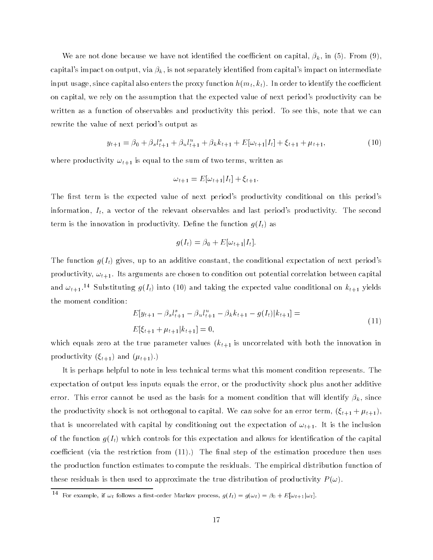We are not done because we have not identified the coefficient on capital,  $\beta_k$ , in (5). From (9), capital's impact on output, via  $\beta_k$ , is not separately identified from capital's impact on intermediate input usage, since capital also enters the proxy function  $h(m_t, k_t)$ . In order to identify the coefficient on capital, we rely on the assumption that the expected value of next period's productivity can be written as a function of observables and productivity this period. To see this, note that we can rewrite the value of next period's output as

$$
y_{t+1} = \beta_0 + \beta_s l_{t+1}^s + \beta_u l_{t+1}^u + \beta_k k_{t+1} + E[\omega_{t+1}|I_t] + \xi_{t+1} + \mu_{t+1},
$$
\n(10)

where productivity  $\omega_{t+1}$  is equal to the sum of two terms, written as

$$
\omega_{t+1} = E[\omega_{t+1}|I_t] + \xi_{t+1}.
$$

The first term is the expected value of next period's productivity conditional on this period's information,  $I_t$ , a vector of the relevant observables and last period's productivity. The second term is the innovation in productivity. Define the function  $q(I_t)$  as

$$
g(I_t) = \beta_0 + E[\omega_{t+1}|I_t].
$$

The function  $g(I_t)$  gives, up to an additive constant, the conditional expectation of next period's productivity,  $\omega_{t+1}$ . Its arguments are chosen to condition out potential correlation between capital and  $\omega_{t+1}.^{14}$  Substituting  $g(I_t)$  into (10) and taking the expected value conditional on  $k_{t+1}$  yields the moment condition:

$$
E[y_{t+1} - \beta_s l_{t+1}^s - \beta_u l_{t+1}^u - \beta_k k_{t+1} - g(I_t)|k_{t+1}] =
$$
  
\n
$$
E[\xi_{t+1} + \mu_{t+1}|k_{t+1}] = 0,
$$
\n(11)

which equals zero at the true parameter values  $(k_{t+1}$  is uncorrelated with both the innovation in productivity  $(\xi_{t+1})$  and  $(\mu_{t+1})$ .)

It is perhaps helpful to note in less technical terms what this moment condition represents. The expectation of output less inputs equals the error, or the productivity shock plus another additive error. This error cannot be used as the basis for a moment condition that will identify  $\beta_k$ , since the productivity shock is not orthogonal to capital. We can solve for an error term,  $(\xi_{t+1} + \mu_{t+1}),$ that is uncorrelated with capital by conditioning out the expectation of  $\omega_{t+1}$ . It is the inclusion of the function  $g(I_t)$  which controls for this expectation and allows for identification of the capital coefficient (via the restriction from  $(11)$ .) The final step of the estimation procedure then uses the production function estimates to compute the residuals. The empirical distribution function of these residuals is then used to approximate the true distribution of productivity  $P(\omega)$ .

The resumple, if  $\omega_t$  follows a first-order Markov process,  $g(I_t) = g(\omega_t) = \beta_0 + E[\omega_{t+1}|\omega_t].$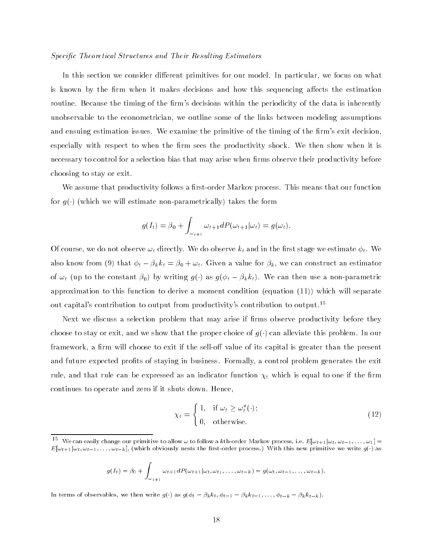#### Specific Theoretical Structures and Their Resulting Estimators

In this section we consider different primitives for our model. In particular, we focus on what is known by the firm when it makes decisions and how this sequencing affects the estimation routine. Because the timing of the firm's decisions within the periodicity of the data is inherently unobservable to the econometrician, we outline some of the links between modeling assumptions and ensuing estimation issues. We examine the primitive of the timing of the firm's exit decision, especially with respect to when the firm sees the productivity shock. We then show when it is necessary to control for a selection bias that may arise when firms observe their productivity before choosing to stay or exit.

We assume that productivity follows a first-order Markov process. This means that our function for  $g(\cdot)$  (which we will estimate non-parametrically) takes the form

$$
g(I_t) = \beta_0 + \int_{\omega_{t+1}} \omega_{t+1} dP(\omega_{t+1}|\omega_t) = g(\omega_t).
$$

Of course, we do not observe  $\omega_t$  directly. We do observe  $k_t$  and in the first stage we estimate  $\phi_t$ . We also know from (9) that  $\phi_t - \beta_k k_t = \beta_0 + \omega_t$ . Given a value for  $\beta_k$ , we can construct an estimator of  $\omega_t$  (up to the constant  $\beta_0$ ) by writing  $g(\cdot)$  as  $g(\phi_t - \beta_k k_t)$ . We can then use a non-parametric approximation to this function to derive a moment condition (equation (11)) which will separate out capital's contribution to output from productivity's contribution to output.15

Next we discuss a selection problem that may arise if firms observe productivity before they choose to stay or exit, and we show that the proper choice of  $g(\cdot)$  can alleviate this problem. In our framework, a firm will choose to exit if the sell-off value of its capital is greater than the present and future expected profits of staying in business. Formally, a control problem generates the exit rule, and that rule can be expressed as an indicator function  $\chi_t$  which is equal to one if the firm continues to operate and zero if it shuts down. Hence,

$$
\chi_t = \begin{cases} 1, & \text{if } \omega_t \ge \omega_t^*(\cdot); \\ 0, & \text{otherwise.} \end{cases}
$$
 (12)

$$
g(I_t) = \beta_0 + \int_{\omega_{t+1}} \omega_{t+1} dP(\omega_{t+1}|\omega_t, \omega_{t+1}, \ldots, \omega_{t-k}) = g(\omega_t, \omega_{t-1}, \ldots, \omega_{t-k}).
$$

In terms of observables, we then write  $g(\cdot)$  as  $g(\phi_t - \beta_k k_t, \phi_{t-1} - \beta_k k_{t-1}, \ldots, \phi_{t-k} - \beta_k k_{t-k}).$ 

The vecan easily change our primitive to allow  $\omega$  to follow a kth-order Markov process, i.e.  $E[\omega_{t+1}|\omega_t,\omega_{t-1},\ldots,\omega_1]=0$  $E[\omega_{t+1}|\omega_t, \omega_{t-1}, \ldots, \omega_{t-k}]$ , (which obviously nests the first-order process.) With this new primitive we write  $g(\cdot)$  as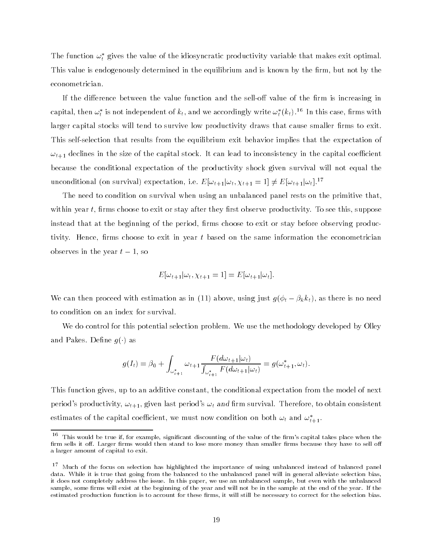The function  $\omega_t$  gives the value of the idiosyncratic productivity variable that makes exit optimal. This value is endogenously determined in the equilibrium and is known by the firm, but not by the econometrician.

If the difference between the value function and the sell-off value of the firm is increasing in capital, then  $\omega_t$  is not independent of  $\kappa_t,$  and we accordingly write  $\omega_t$  ( $\kappa_t$ ). The this case, firms with larger capital stocks will tend to survive low productivity draws that cause smaller firms to exit. This self-selection that results from the equilibrium exit behavior implies that the expectation of  $\omega_{t+1}$  declines in the size of the capital stock. It can lead to inconsistency in the capital coefficient because the conditional expectation of the productivity shock given survival will not equal the unconditional (on survival) expectation, i.e.  $E[\omega_{t+1}|\omega_t, \chi_{t+1} = 1] \neq E[\omega_{t+1}|\omega_t].^{17}$ 

The need to condition on survival when using an unbalanced panel rests on the primitive that, within year  $t$ , firms choose to exit or stay after they first observe productivity. To see this, suppose instead that at the beginning of the period, firms choose to exit or stay before observing productivity. Hence, firms choose to exit in year  $t$  based on the same information the econometrician observes in the server the server that is not the server that the server that is not the server that is not the

$$
E[\omega_{t+1}|\omega_t, \chi_{t+1} = 1] = E[\omega_{t+1}|\omega_t].
$$

We can then proceed with estimation as in (11) above, using just  $g(\phi_t - \beta_k k_t)$ , as there is no need to condition on an index for survival.

We do control for this potential selection problem. We use the methodology developed by Olley and Pakes. Define  $g(\cdot)$  as

$$
g(I_t) = \beta_0 + \int_{\omega_{t+1}^*} \omega_{t+1} \frac{F(d\omega_{t+1}|\omega_t)}{\int_{\omega_{t+1}^*} F(d\omega_{t+1}|\omega_t)} = g(\omega_{t+1}^*, \omega_t).
$$

This function gives, up to an additive constant, the conditional expectation from the model of next period's productivity,  $\omega_{t+1}$ , given last period's  $\omega_t$  and firm survival. Therefore, to obtain consistent estimates of the capital coefficient, we must now condition on both  $\omega_t$  and  $\omega_{t+1}.$ 

<sup>16</sup> This would be true if, for example, significant discounting of the value of the firm's capital takes place when the firm sells it off. Larger firms would then stand to lose more money than smaller firms because they have to sell off a larger amount of capital to exit.

<sup>17</sup> Much of the focus on selection has highlighted the importance of using unbalanced instead of balanced panel data. While it is true that going from the balanced to the unbalanced panel will in general alleviate selection bias, it does not completely address the issue. In this paper, we use an unbalanced sample, but even with the unbalanced sample, some firms will exist at the beginning of the year and will not be in the sample at the end of the year. If the estimated production function is to account for these firms, it will still be necessary to correct for the selection bias.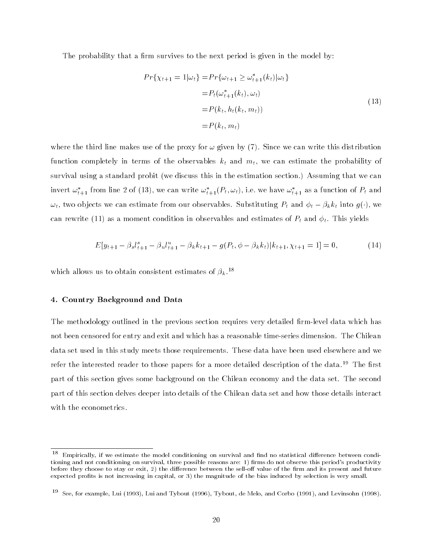The probability that a firm survives to the next period is given in the model by:

$$
Pr\{\chi_{t+1} = 1 | \omega_t\} = Pr\{\omega_{t+1} \ge \omega_{t+1}^*(k_t) | \omega_t\}
$$
  

$$
= P_t(\omega_{t+1}^*(k_t), \omega_t)
$$
  

$$
= P(k_t, h_t(k_t, m_t))
$$
  

$$
= P(k_t, m_t)
$$
 (13)

where the third line makes use of the proxy for  $\omega$  given by (7). Since we can write this distribution function completely in terms of the observables  $k_t$  and  $m_t$ , we can estimate the probability of survival using a standard probit (we discuss this in the estimation section.) Assuming that we can invert  $\omega_{t+1}$  from line 2 of (13), we can write  $\omega_{t+1}(\varGamma_t,\omega_t)$ , i.e. we have  $\omega_{t+1}$  as a function of  $\varGamma_t$  and  $\omega_t$ , two objects we can estimate from our observables. Substituting  $P_t$  and  $\phi_t - \beta_k k_t$  into  $g(\cdot)$ , we can rewrite (11) as a moment condition in observables and estimates of  $P_t$  and  $\phi_t$ . This yields

$$
E[y_{t+1} - \beta_s l_{t+1}^s - \beta_u l_{t+1}^u - \beta_k k_{t+1} - g(P_t, \phi - \beta_k k_t) | k_{t+1}, \chi_{t+1} = 1] = 0, \qquad (14)
$$

which allows us to obtain consistent estimates of  $\beta_k$ .<sup>18</sup>

#### 4. Country Background and Data

The methodology outlined in the previous section requires very detailed firm-level data which has not been censored for entry and exit and which has a reasonable time-series dimension. The Chilean data set used in this study meets those requirements. These data have been used elsewhere and we refer the interested reader to those papers for a more detailed description of the data.<sup>19</sup> The first part of this section gives some background on the Chilean economy and the data set. The second part of this section delves deeper into details of the Chilean data set and how those details interact with the econometrics.

 $^\circ$  - Empirically, if we estimate the model conditioning on survival and find no statistical difference between conditioning and not conditioning on survival, three possible reasons are: 1) firms do not observe this period's productivity before they choose to stay or exit, 2) the difference between the sell-off value of the firm and its present and future expected prots is not increasing in capital, or 3) the magnitude of the bias induced by selection is very small.

<sup>19</sup> See, for example, Lui (1993), Lui and Tybout (1996), Tybout, de Melo, and Corbo (1991), and Levinsohn (1998).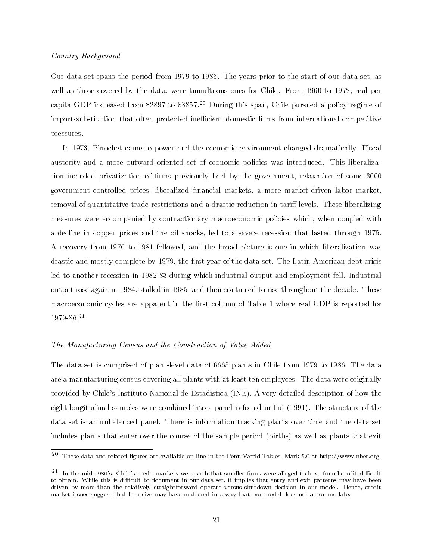#### Country Background

Our data set spans the period from 1979 to 1986. The years prior to the start of our data set, as well as those covered by the data, were tumultuous ones for Chile. From 1960 to 1972, real per capita GDP increased from \$2897 to \$3857.20 During this span, Chile pursued a policy regime of import-substitution that often protected inefficient domestic firms from international competitive pressures.

In 1973, Pinochet came to power and the economic environment changed dramatically. Fiscal austerity and a more outward-oriented set of economic policies was introduced. This liberalization included privatization of firms previously held by the government, relaxation of some 3000 government controlled prices, liberalized nancial markets, a more market-driven labor market, removal of quantitative trade restrictions and a drastic reduction in tariff levels. These liberalizing measures were accompanied by contractionary macroeconomic policies which, when coupled with a decline in copper prices and the oil shocks, led to a severe recession that lasted through 1975. A recovery from 1976 to 1981 followed, and the broad picture is one in which liberalization was drastic and mostly complete by 1979, the first year of the data set. The Latin American debt crisis led to another recession in 1982-83 during which industrial output and employment fell. Industrial output rose again in 1984, stalled in 1985, and then continued to rise throughout the decade. These macroeconomic cycles are apparent in the first column of Table 1 where real GDP is reported for 1979-86.21

#### The Manufacturing Census and the Construction of Value Added

The data set is comprised of plant-level data of 6665 plants in Chile from 1979 to 1986. The data are a manufacturing census covering all plants with at least ten employees. The data were originally provided by Chile's Instituto Nacional de Estadistica (INE). A very detailed description of how the eight longitudinal samples were combined into a panel is found in Lui (1991). The structure of the data set is an unbalanced panel. There is information tracking plants over time and the data set includes plants that enter over the course of the sample period (births) as well as plants that exit

<sup>20</sup> These data and related gures are available on-line in the Penn World Tables, Mark 5.6 at http://www.nber.org.

 $^{21}$  In the mid-1980's, Chile's credit markets were such that smaller firms were alleged to have found credit difficult to obtain. While this is difficult to document in our data set, it implies that entry and exit patterns may have been driven by more than the relatively straightforward operate versus shutdown decision in our model. Hence, credit market issues suggest that firm size may have mattered in a way that our model does not accommodate.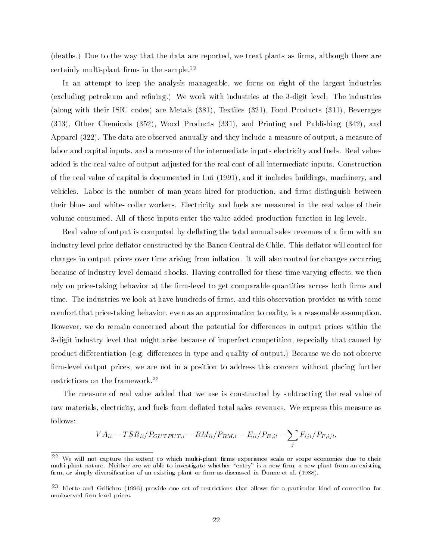(deaths.) Due to the way that the data are reported, we treat plants as firms, although there are certainly multi-plant firms in the sample.<sup>22</sup>

In an attempt to keep the analysis manageable, we focus on eight of the largest industries (excluding petroleum and refining.) We work with industries at the 3-digit level. The industries (along with their ISIC codes) are Metals (381), Textiles (321), Food Products (311), Beverages (313), Other Chemicals (352), Wood Products (331), and Printing and Publishing (342), and Apparel (322). The data are observed annually and they include a measure of output, a measure of labor and capital inputs, and a measure of the intermediate inputs electricity and fuels. Real valueadded is the real value of output adjusted for the real cost of all intermediate inputs. Construction of the real value of capital is documented in Lui (1991), and it includes buildings, machinery, and vehicles. Labor is the number of man-years hired for production, and firms distinguish between their blue- and white- collar workers. Electricity and fuels are measured in the real value of their volume consumed. All of these inputs enter the value-added production function in log-levels.

Real value of output is computed by deflating the total annual sales revenues of a firm with an industry level price deflator constructed by the Banco Central de Chile. This deflator will control for changes in output prices over time arising from inflation. It will also control for changes occurring because of industry level demand shocks. Having controlled for these time-varying effects, we then rely on price-taking behavior at the firm-level to get comparable quantities across both firms and time. The industries we look at have hundreds of firms, and this observation provides us with some comfort that price-taking behavior, even as an approximation to reality, is a reasonable assumption. However, we do remain concerned about the potential for differences in output prices within the 3-digit industry level that might arise because of imperfect competition, especially that caused by product differentiation (e.g. differences in type and quality of output.) Because we do not observe rm-level output prices, we are not in a position to address this concern without placing further restrictions on the framework.23

The measure of real value added that we use is constructed by subtracting the real value of raw materials, electricity, and fuels from deflated total sales revenues. We express this measure as follows:

$$
VA_{it} = TSR_{it}/P_{OUTPUT,t} - RM_{it}/P_{RM,t} - E_{it}/P_{E,it} - \sum_{j} F_{ijt}/P_{F,ijt},
$$

<sup>22</sup> We will not capture the extent to which multi-plant firms experience scale or scope economies due to their multi-plant nature. Neither are we able to investigate whether "entry" is a new firm, a new plant from an existing firm, or simply diversification of an existing plant or firm as discussed in Dunne et al. (1988).

<sup>23</sup> Klette and Griliches (1996) provide one set of restrictions that allows for a particular kind of correction for maarmeers was andered and the prices.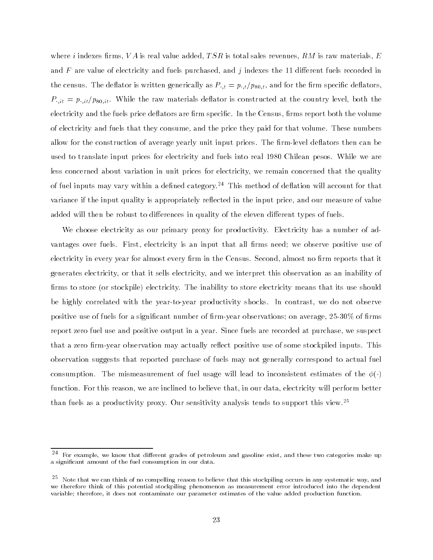where i indexes firms, VA is real value added, TSR is total sales revenues, RM is raw materials, E and  $F$  are value of electricity and fuels purchased, and  $j$  indexes the 11 different fuels recorded in the census. The deflator is written generically as  $P_{\cdot,t} = p_{\cdot,t}/p_{80,t}$ , and for the firm specific deflators,  $P_{.,it} = p_{.,it}/p_{80,it}$ . While the raw materials deflator is constructed at the country level, both the electricity and the fuels price deflators are firm specific. In the Census, firms report both the volume of electricity and fuels that they consume, and the price they paid for that volume. These numbers allow for the construction of average yearly unit input prices. The firm-level deflators then can be used to translate input prices for electricity and fuels into real 1980 Chilean pesos. While we are less concerned about variation in unit prices for electricity, we remain concerned that the quality of fuel inputs may vary within a defined category.<sup>24</sup> This method of deflation will account for that variance if the input quality is appropriately reflected in the input price, and our measure of value added will then be robust to differences in quality of the eleven different types of fuels.

We choose electricity as our primary proxy for productivity. Electricity has a number of advantages over fuels. First, electricity is an input that all firms need; we observe positive use of electricity in every year for almost every firm in the Census. Second, almost no firm reports that it generates electricity, or that it sells electricity, and we interpret this observation as an inability of firms to store (or stockpile) electricity. The inability to store electricity means that its use should be highly correlated with the year-to-year productivity shocks. In contrast, we do not observe positive use of fuels for a significant number of firm-year observations; on average,  $25\text{-}30\%$  of firms report zero fuel use and positive output in a year. Since fuels are recorded at purchase, we suspect that a zero firm-year observation may actually reflect positive use of some stockpiled inputs. This observation suggests that reported purchase of fuels may not generally correspond to actual fuel consumption. The mismeasurement of fuel usage will lead to inconsistent estimates of the  $\phi(\cdot)$ function. For this reason, we are inclined to believe that, in our data, electricity will perform better than fuels as a productivity proxy. Our sensitivity analysis tends to support this view.<sup>25</sup>

 $24$  $^\circ$  For example, we know that different grades of petroleum and gasoline exist, and these two categories make up a signicant amount of the fuel consumption in our data.

<sup>25</sup> Note that we can think of no compelling reason to believe that this stockpiling occurs in any systematic way, and we therefore think of this potential stockpiling phenomenon as measurement error introduced into the dependent variable; therefore, it does not contaminate our parameter estimates of the value added production function.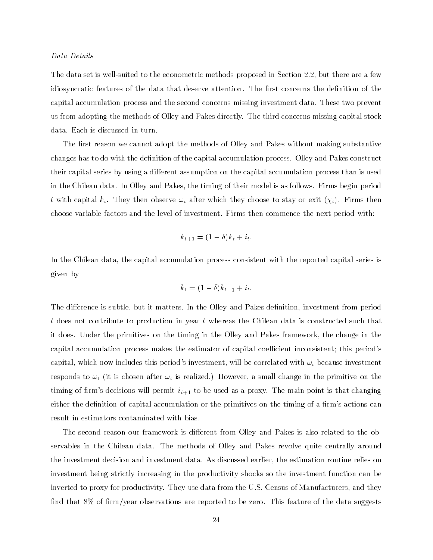#### Data Details

The data set is well-suited to the econometric methods proposed in Section 2.2, but there are a few idiosyncratic features of the data that deserve attention. The first concerns the definition of the capital accumulation process and the second concerns missing investment data. These two prevent us from adopting the methods of Olley and Pakes directly. The third concerns missing capital stock data. Each is discussed in turn.

The first reason we cannot adopt the methods of Olley and Pakes without making substantive changes has to do with the definition of the capital accumulation process. Olley and Pakes construct their capital series by using a different assumption on the capital accumulation process than is used in the Chilean data. In Olley and Pakes, the timing of their model is as follows. Firms begin period t with capital  $k_t$ . They then observe  $\omega_t$  after which they choose to stay or exit  $(\chi_t)$ . Firms then choose variable factors and the level of investment. Firms then commence the next period with:

$$
k_{t+1} = (1 - \delta)k_t + i_t.
$$

In the Chilean data, the capital accumulation process consistent with the reported capital series is given by

$$
k_t = (1 - \delta)k_{t-1} + i_t.
$$

The difference is subtle, but it matters. In the Olley and Pakes definition, investment from period t does not contribute to production in year t whereas the Chilean data is constructed such that it does. Under the primitives on the timing in the Olley and Pakes framework, the change in the capital accumulation process makes the estimator of capital coefficient inconsistent; this period's capital, which now includes this period's investment, will be correlated with  $\omega_t$  because investment responds to  $\omega_t$  (it is chosen after  $\omega_t$  is realized.) However, a small change in the primitive on the timing of firm's decisions will permit  $i_{t+1}$  to be used as a proxy. The main point is that changing either the definition of capital accumulation or the primitives on the timing of a firm's actions can result in estimators contaminated with bias.

The second reason our framework is different from Olley and Pakes is also related to the observables in the Chilean data. The methods of Olley and Pakes revolve quite centrally around the investment decision and investment data. As discussed earlier, the estimation routine relies on investment being strictly increasing in the productivity shocks so the investment function can be inverted to proxy for productivity. They use data from the U.S. Census of Manufacturers, and they find that  $8\%$  of firm/year observations are reported to be zero. This feature of the data suggests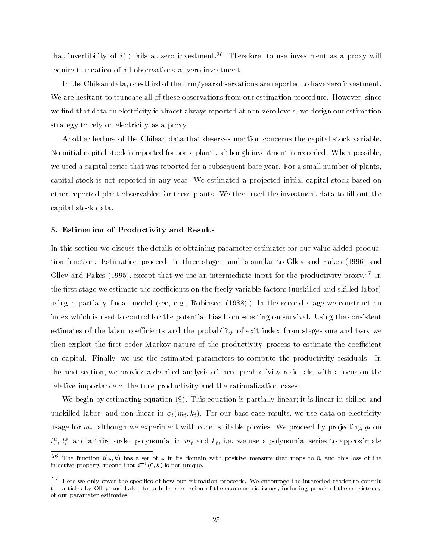that invertibility of  $i(.)$  fails at zero investment.<sup>26</sup> Therefore, to use investment as a proxy will require truncation of all observations at zero investment.

In the Chilean data, one-third of the firm/year observations are reported to have zero investment. We are hesitant to truncate all of these observations from our estimation procedure. However, since we find that data on electricity is almost always reported at non-zero levels, we design our estimation strategy to rely on electricity as a proxy.

Another feature of the Chilean data that deserves mention concerns the capital stock variable. No initial capital stock is reported for some plants, although investment is recorded. When possible, we used a capital series that was reported for a subsequent base year. For a small number of plants, capital stock is not reported in any year. We estimated a pro jected initial capital stock based on other reported plant observables for these plants. We then used the investment data to fill out the capital stock data.

## 5. Estimation of Productivity and Results

In this section we discuss the details of obtaining parameter estimates for our value-added production function. Estimation proceeds in three stages, and is similar to Olley and Pakes (1996) and Olley and Pakes (1995), except that we use an intermediate input for the productivity proxy.<sup>27</sup> In the first stage we estimate the coefficients on the freely variable factors (unskilled and skilled labor) using a partially linear model (see, e.g., Robinson (1988).) In the second stage we construct an index which is used to control for the potential bias from selecting on survival. Using the consistent estimates of the labor coefficients and the probability of exit index from stages one and two, we then exploit the first order Markov nature of the productivity process to estimate the coefficient on capital. Finally, we use the estimated parameters to compute the productivity residuals. In the next section, we provide a detailed analysis of these productivity residuals, with a focus on the relative importance of the true productivity and the rationalization cases.

We begin by estimating equation (9). This equation is partially linear; it is linear in skilled and unskilled labor, and non-linear in  $\phi_t(m_t, k_t)$ . For our base case results, we use data on electricity usage for  $m_t$ , although we experiment with other suitable proxies. We proceed by projecting  $y_t$  on  $u_t^*,$   $i_t^*,$  and a third order polynomial in  $m_t$  and  $\kappa_t,$  i.e. we use a polynomial series to approximate

 $\tilde{\ }$  . The function  $\tilde{\imath}(\omega,\kappa)$  has a set of  $\omega$  in its domain with positive measure that maps to 0, and this loss of the injective property means that  $i^{-+}(0,\kappa)$  is not unique.

 $^\circ$  . Here we only cover the specifics of how our estimation proceeds. We encourage the interested reader to consult the articles by Olley and Pakes for a fuller discussion of the econometric issues, including proofs of the consistency of our parameter estimates.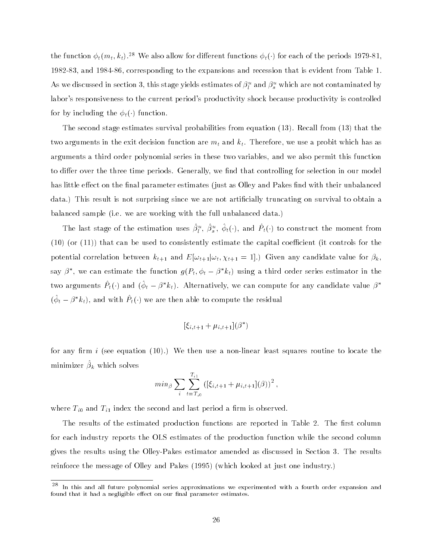the function  $\phi_t(m_t, k_t)$ .<sup>28</sup> We also allow for different functions  $\phi_t(\cdot)$  for each of the periods 1979-81 1982-83, and 1984-86, corresponding to the expansions and recession that is evident from Table 1. As we discussed in section 5, this stage yields estimates of  $\rho_l^+$  and  $\rho_s^-$  which are not contaminated by labor's responsiveness to the current period's productivity shock because productivity is controlled for by including the  $\phi_t(\cdot)$  function.

The second stage estimates survival probabilities from equation (13). Recall from (13) that the two arguments in the exit decision function are  $m_t$  and  $k_t$ . Therefore, we use a probit which has as arguments a third order polynomial series in these two variables, and we also permit this function to differ over the three time periods. Generally, we find that controlling for selection in our model has little effect on the final parameter estimates (just as Olley and Pakes find with their unbalanced data.) This result is not surprising since we are not articially truncating on survival to obtain a balanced sample (i.e. we are working with the full unbalanced data.)

The last stage of the estimation uses  $\rho_l^*, \rho_s^*, \varphi_t(\cdot)$ , and  $P_t(\cdot)$  to construct the moment from  $(10)$  (or  $(11)$ ) that can be used to consistently estimate the capital coefficient (it controls for the potential correlation between  $k_{t+1}$  and  $E[\omega_{t+1}|\omega_t, \chi_{t+1} = 1].$  Given any candidate value for  $\beta_k$ , say  $\rho$  , we can estimate the function  $g(r_t,\phi_t-\rho\|\kappa_t)$  using a third order series estimator in the two arguments  $\varGamma_t(\cdot)$  and  $(\varphi_t - \beta \kappa_t)$ . Alternatively, we can compute for any candidate value  $\beta$  $\phi_t - \rho$   $\kappa_t$ ), and with  $P_t(\cdot)$  we are then able to compute the residual

$$
[\xi_{i,t+1} + \mu_{i,t+1}](\beta^*)
$$

for any firm  $i$  (see equation  $(10)$ .) We then use a non-linear least squares routine to locate the  $minimize: \mu_k$  which solves

$$
min_{\beta} \sum_{i} \sum_{t=T_{i0}}^{T_{i1}} \left( [\xi_{i,t+1} + \mu_{i,t+1}](\beta) \right)^2,
$$

where  $T_{i0}$  and  $T_{i1}$  index the second and last period a firm is observed.

The results of the estimated production functions are reported in Table 2. The first column for each industry reports the OLS estimates of the production function while the second column gives the results using the Olley-Pakes estimator amended as discussed in Section 3. The results reinforce the message of Olley and Pakes (1995) (which looked at just one industry.)

<sup>&</sup>lt;sup>29</sup> In this and all future polynomial series approximations we experimented with a fourth order expansion and found that it had a negligible effect on our final parameter estimates.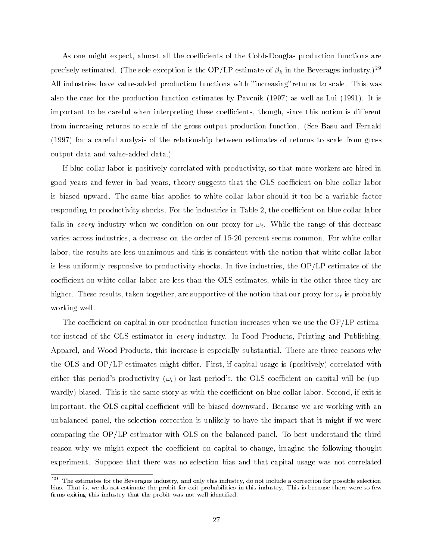As one might expect, almost all the coefficients of the Cobb-Douglas production functions are precisely estimated. (The sole exception is the OP/LP estimate of  $\beta_k$  in the Beverages industry.)<sup>29</sup> All industries have value-added production functions with "increasing"returns to scale. This was also the case for the production function estimates by Pavcnik (1997) as well as Lui (1991). It is important to be careful when interpreting these coefficients, though, since this notion is different from increasing returns to scale of the gross output production function. (See Basu and Fernald (1997) for a careful analysis of the relationship between estimates of returns to scale from gross output data and value-added data.)

If blue collar labor is positively correlated with productivity, so that more workers are hired in good years and fewer in bad years, theory suggests that the OLS coefficient on blue collar labor is biased upward. The same bias applies to white collar labor should it too be a variable factor responding to productivity shocks. For the industries in Table 2, the coefficient on blue collar labor falls in every industry when we condition on our proxy for  $\omega_t$ . While the range of this decrease varies across industries, a decrease on the order of 15-20 percent seems common. For white collar labor, the results are less unanimous and this is consistent with the notion that white collar labor is less uniformly responsive to productivity shocks. In five industries, the  $OP/LP$  estimates of the coefficient on white collar labor are less than the OLS estimates, while in the other three they are higher. These results, taken together, are supportive of the notion that our proxy for  $\omega_t$  is probably working well.

The coefficient on capital in our production function increases when we use the  $OP/LP$  estimator instead of the OLS estimator in every industry. In Food Products, Printing and Publishing, Apparel, and Wood Products, this increase is especially substantial. There are three reasons why the OLS and  $OP/LP$  estimates might differ. First, if capital usage is (positively) correlated with either this period's productivity  $(\omega_t)$  or last period's, the OLS coefficient on capital will be (upwardly) biased. This is the same story as with the coefficient on blue-collar labor. Second, if exit is important, the OLS capital coefficient will be biased downward. Because we are working with an unbalanced panel, the selection correction is unlikely to have the impact that it might if we were comparing the OP/LP estimator with OLS on the balanced panel. To best understand the third reason why we might expect the coefficient on capital to change, imagine the following thought experiment. Suppose that there was no selection bias and that capital usage was not correlated

<sup>29</sup> The estimates for the Beverages industry, and only this industry, do not include a correction for possible selection bias. That is, we do not estimate the probit for exit probabilities in this industry. This is because there were so few firms exiting this industry that the probit was not well identified.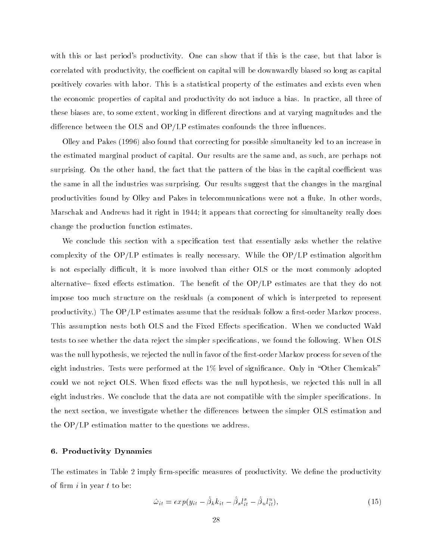with this or last period's productivity. One can show that if this is the case, but that labor is correlated with productivity, the coefficient on capital will be downwardly biased so long as capital positively covaries with labor. This is a statistical property of the estimates and exists even when the economic properties of capital and productivity do not induce a bias. In practice, all three of these biases are, to some extent, working in different directions and at varying magnitudes and the difference between the OLS and  $OP/LP$  estimates confounds the three influences.

Olley and Pakes (1996) also found that correcting for possible simultaneity led to an increase in the estimated marginal product of capital. Our results are the same and, as such, are perhaps not surprising. On the other hand, the fact that the pattern of the bias in the capital coefficient was the same in all the industries was surprising. Our results suggest that the changes in the marginal productivities found by Olley and Pakes in telecommunications were not a fluke. In other words, Marschak and Andrews had it right in 1944; it appears that correcting for simultaneity really does change the production function estimates.

We conclude this section with a specification test that essentially asks whether the relative complexity of the OP/LP estimates is really necessary. While the OP/LP estimation algorithm is not especially difficult, it is more involved than either OLS or the most commonly adopted alternative– fixed effects estimation. The benefit of the  $OP/LP$  estimates are that they do not impose too much structure on the residuals (a component of which is interpreted to represent productivity.) The  $OP/LP$  estimates assume that the residuals follow a first-order Markov process. This assumption nests both OLS and the Fixed Effects specification. When we conducted Wald tests to see whether the data reject the simpler specications, we found the following. When OLS was the null hypothesis, we rejected the null in favor of the first-order Markov process for seven of the eight industries. Tests were performed at the  $1\%$  level of significance. Only in "Other Chemicals" could we not reject OLS. When fixed effects was the null hypothesis, we rejected this null in all eight industries. We conclude that the data are not compatible with the simpler specifications. In the next section, we investigate whether the differences between the simpler OLS estimation and the OP/LP estimation matter to the questions we address.

#### 6. Productivity Dynamics

The estimates in Table 2 imply firm-specific measures of productivity. We define the productivity of firm  $i$  in year  $t$  to be:

$$
\hat{\omega}_{it} = exp(y_{it} - \hat{\beta}_k k_{it} - \hat{\beta}_s l_{it}^s - \hat{\beta}_u l_{it}^u), \qquad (15)
$$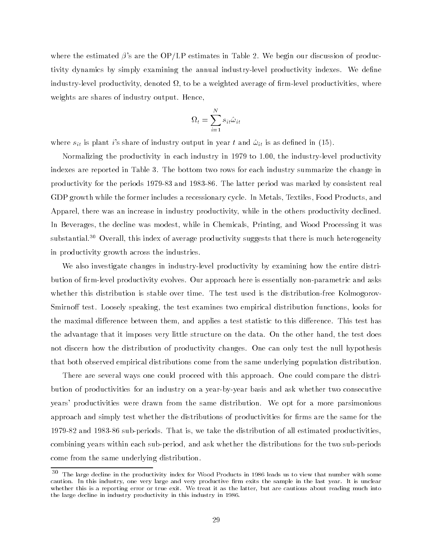where the estimated  $\beta$ 's are the OP/LP estimates in Table 2. We begin our discussion of productivity dynamics by simply examining the annual industry-level productivity indexes. We dene industry-level productivity, denoted it, is do at weighted average if mind it is productivities, where  $\cdots$ weights are shares of industry output. Hence,

$$
\Omega_t = \sum_{i=1}^N s_{it} \hat{\omega}_{it}
$$

where  $s_{it}$  is plant i's share of industry output in year t and  $\hat{\omega}_{it}$  is as defined in (15).

Normalizing the productivity in each industry in 1979 to 1.00, the industry-level productivity indexes are reported in Table 3. The bottom two rows for each industry summarize the change in productivity for the periods 1979-83 and 1983-86. The latter period was marked by consistent real GDP growth while the former includes a recessionary cycle. In Metals, Textiles, Food Products, and Apparel, there was an increase in industry productivity, while in the others productivity declined. In Beverages, the decline was modest, while in Chemicals, Printing, and Wood Processing it was substantial.30 Overall, this index of average productivity suggests that there is much heterogeneity in productivity growth across the industries.

We also investigate changes in industry-level productivity by examining how the entire distribution of firm-level productivity evolves. Our approach here is essentially non-parametric and asks whether this distribution is stable over time. The test used is the distribution-free Kolmogorov-Smirnoff test. Loosely speaking, the test examines two empirical distribution functions, looks for the maximal difference between them, and applies a test statistic to this difference. This test has the advantage that it imposes very little structure on the data. On the other hand, the test does not discern how the distribution of productivity changes. One can only test the null hypothesis that both observed empirical distributions come from the same underlying population distribution.

There are several ways one could proceed with this approach. One could compare the distribution of productivities for an industry on a year-by-year basis and ask whether two consecutive years' productivities were drawn from the same distribution. We opt for a more parsimonious approach and simply test whether the distributions of productivities for firms are the same for the 1979-82 and 1983-86 sub-periods. That is, we take the distribution of all estimated productivities, combining years within each sub-period, and ask whether the distributions for the two sub-periods come from the same underlying distribution.

 $^\circ$  The large decline in the productivity index for Wood Products in 1986 leads us to view that number with some caution. In this industry, one very large and very productive firm exits the sample in the last year. It is unclear whether this is a reporting error or true exit. We treat it as the latter, but are cautious about reading much into the large decline in industry productivity in this industry in 1986.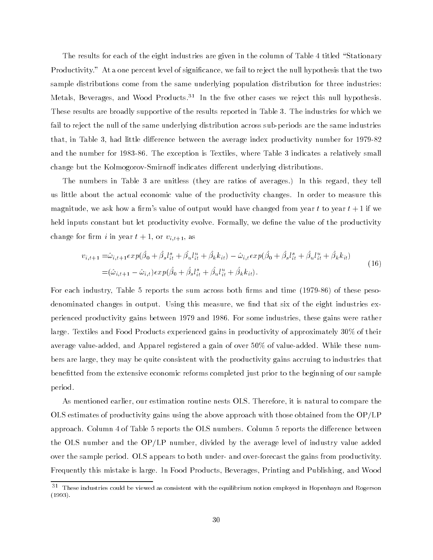The results for each of the eight industries are given in the column of Table 4 titled "Stationary" Productivity." At a one percent level of signicance, we fail to reject the null hypothesis that the two sample distributions come from the same underlying population distribution for three industries: Metals, Beverages, and Wood Products.<sup>31</sup> In the five other cases we reject this null hypothesis. These results are broadly supportive of the results reported in Table 3. The industries for which we fail to reject the null of the same underlying distribution across sub-periods are the same industries that, in Table 3, had little difference between the average index productivity number for 1979-82 and the number for 1983-86. The exception is Textiles, where Table 3 indicates a relatively small change but the Kolmogorov-Smirnoff indicates different underlying distributions.

The numbers in Table 3 are unitless (they are ratios of averages.) In this regard, they tell us little about the actual economic value of the productivity changes. In order to measure this magnitude, we ask how a firm's value of output would have changed from year t to year  $t+1$  if we held inputs constant but let productivity evolve. Formally, we define the value of the productivity change for firm i in year  $t+1$ , or  $v_{i,t+1}$ , as

$$
v_{i,t+1} = \hat{\omega}_{i,t+1} exp(\hat{\beta}_0 + \hat{\beta}_s l_{it}^s + \hat{\beta}_u l_{it}^u + \hat{\beta}_k k_{it}) - \hat{\omega}_{i,t} exp(\hat{\beta}_0 + \hat{\beta}_s l_{it}^s + \hat{\beta}_u l_{it}^u + \hat{\beta}_k k_{it})
$$
  
=  $(\hat{\omega}_{i,t+1} - \hat{\omega}_{i,t}) exp(\hat{\beta}_0 + \hat{\beta}_s l_{it}^s + \hat{\beta}_u l_{it}^u + \hat{\beta}_k k_{it}).$  (16)

For each industry, Table 5 reports the sum across both firms and time (1979-86) of these pesodenominated changes in output. Using this measure, we find that six of the eight industries experienced productivity gains between 1979 and 1986. For some industries, these gains were rather large. Textiles and Food Products experienced gains in productivity of approximately 30% of their average value-added, and Apparel registered a gain of over 50% of value-added. While these numbers are large, they may be quite consistent with the productivity gains accruing to industries that benetted from the extensive economic reforms completed just prior to the beginning of our sample period.

As mentioned earlier, our estimation routine nests OLS. Therefore, it is natural to compare the OLS estimates of productivity gains using the above approach with those obtained from the OP/LP approach. Column 4 of Table 5 reports the OLS numbers. Column 5 reports the difference between the OLS number and the OP/LP number, divided by the average level of industry value added over the sample period. OLS appears to both under- and over-forecast the gains from productivity. Frequently this mistake is large. In Food Products, Beverages, Printing and Publishing, and Wood

<sup>&</sup>lt;sup>- -</sup> These industries could be viewed as consistent with the equilibrium notion employed in Hopenhayn and Rogerson (1993).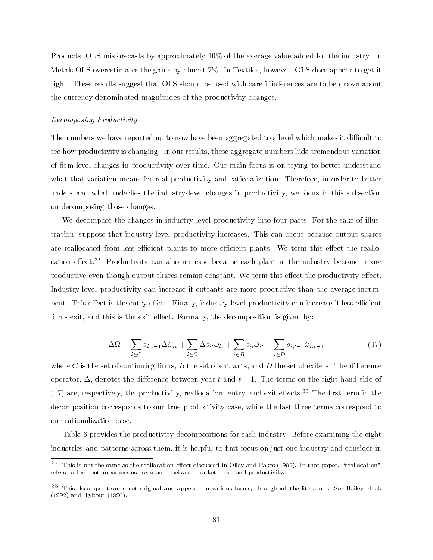Products, OLS misforecasts by approximately 10% of the average value added for the industry. In Metals OLS overestimates the gains by almost 7%. In Textiles, however, OLS does appear to get it right. These results suggest that OLS should be used with care if inferences are to be drawn about the currency-denominated magnitudes of the productivity changes.

#### Decomposing Productivity

The numbers we have reported up to now have been aggregated to a level which makes it difficult to see how productivity is changing. In our results, these aggregate numbers hide tremendous variation of firm-level changes in productivity over time. Our main focus is on trying to better understand what that variation means for real productivity and rationalization. Therefore, in order to better understand what underlies the industry-level changes in productivity, we focus in this subsection on decomposing those changes.

We decompose the changes in industry-level productivity into four parts. For the sake of illustration, suppose that industry-level productivity increases. This can occur because output shares are reallocated from less efficient plants to more efficient plants. We term this effect the reallocation effect.<sup>32</sup> Productivity can also increase because each plant in the industry becomes more productive even though output shares remain constant. We term this effect the productivity effect. Industry-level productivity can increase if entrants are more productive than the average incumbent. This effect is the entry effect. Finally, industry-level productivity can increase if less efficient firms exit, and this is the exit effect. Formally, the decomposition is given by:

$$
\Delta\Omega = \sum_{i \in C} s_{i,t-1} \Delta\hat{\omega}_{it} + \sum_{i \in C} \Delta s_{it} \hat{\omega}_{it} + \sum_{i \in B} s_{it} \hat{\omega}_{it} - \sum_{i \in D} s_{i,t-1} \hat{\omega}_{i,t-1}
$$
(17)

where C is the set of continuing firms,  $B$  the set of entrants, and  $D$  the set of exiters. The difference operator,  $\Delta$ , denotes the difference between year t and  $t - 1$ . The terms on the right-hand-side of  $(17)$  are, respectively, the productivity, reallocation, entry, and exit effects.<sup>33</sup> The first term in the decomposition corresponds to our true productivity case, while the last three terms correspond to our rationalization case.

Table 6 provides the productivity decompositions for each industry. Before examining the eight industries and patterns across them, it is helpful to first focus on just one industry and consider in

 $^\circ$  This is not the same as the reallocation effect discussed in Olley and Pakes (1995). In that paper, "reallocation" refers to the contemporaneous covariance between market share and productivity.

<sup>33</sup> This decomposition is not original and appears, in various forms, throughout the literature. See Bailey et al. (1992) and Tybout (1996).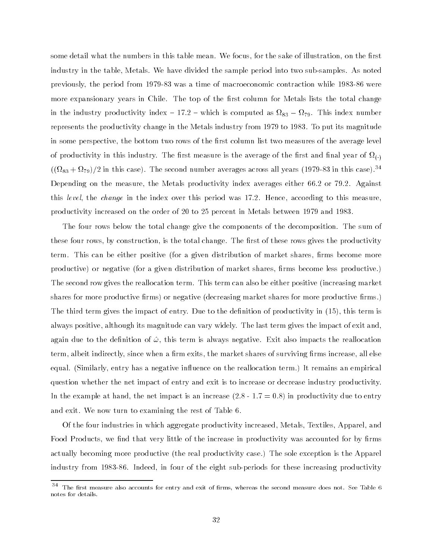some detail what the numbers in this table mean. We focus, for the sake of illustration, on the first industry in the table, Metals. We have divided the sample period into two sub-samples. As noted previously, the period from 1979-83 was a time of macroeconomic contraction while 1983-86 were more expansionary years in Chile. The top of the first column for Metals lists the total change in the industry productivity industry which we indicate the computed as regged as  $\theta$  , which industry is computed represents the productivity change in the Metals industry from 1979 to 1983. To put its magnitude in some perspective, the bottom two rows of the first column list two measures of the average level it is a measure  $\lambda$  and this industry. The area measure is the average of the measure  $\lambda$  and as  $\lambda$  is the set  $(1828 + 8279)/2$  in this case). The second number averages across an years (1979-83 in this case).  $\sim$ Depending on the measure, the Metals productivity index averages either 66.2 or 79.2. Against this level, the change in the index over this period was 17.2. Hence, according to this measure. productivity increased on the order of 20 to 25 percent in Metals between 1979 and 1983.

The four rows below the total change give the components of the decomposition. The sum of these four rows, by construction, is the total change. The first of these rows gives the productivity term. This can be either positive (for a given distribution of market shares, firms become more productive) or negative (for a given distribution of market shares, firms become less productive.) The second row gives the reallocation term. This term can also be either positive (increasing market shares for more productive firms) or negative (decreasing market shares for more productive firms.) The third term gives the impact of entry. Due to the definition of productivity in (15), this term is always positive, although its magnitude can vary widely. The last term gives the impact of exit and, again due to the definition of  $\hat{\omega}$ , this term is always negative. Exit also impacts the reallocation term, albeit indirectly, since when a firm exits, the market shares of surviving firms increase, all else equal. (Similarly, entry has a negative influence on the reallocation term.) It remains an empirical question whether the net impact of entry and exit is to increase or decrease industry productivity. In the example at hand, the net impact is an increase  $(2.8 - 1.7 = 0.8)$  in productivity due to entry and exit. We now turn to examining the rest of Table 6.

Of the four industries in which aggregate productivity increased, Metals, Textiles, Apparel, and Food Products, we find that very little of the increase in productivity was accounted for by firms actually becoming more productive (the real productivity case.) The sole exception is the Apparel industry from 1983-86. Indeed, in four of the eight sub-periods for these increasing productivity

<sup>34</sup> The first measure also accounts for entry and exit of firms, whereas the second measure does not. See Table 6 notes for details.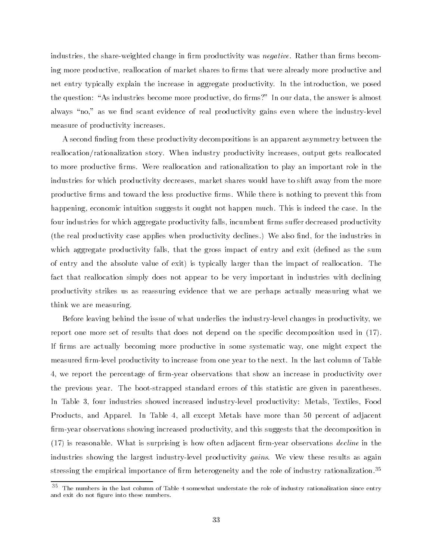industries, the share-weighted change in firm productivity was *negative*. Rather than firms becoming more productive, reallocation of market shares to firms that were already more productive and net entry typically explain the increase in aggregate productivity. In the introduction, we posed the question: "As industries become more productive, do firms?" In our data, the answer is almost always "no," as we find scant evidence of real productivity gains even where the industry-level measure of productivity increases.

A second finding from these productivity decompositions is an apparent asymmetry between the reallocation/rationalization story. When industry productivity increases, output gets reallocated to more productive firms. Were reallocation and rationalization to play an important role in the industries for which productivity decreases, market shares would have to shift away from the more productive firms and toward the less productive firms. While there is nothing to prevent this from happening, economic intuition suggests it ought not happen much. This is indeed the case. In the four industries for which aggregate productivity falls, incumbent firms suffer decreased productivity (the real productivity case applies when productivity declines.) We also find, for the industries in which aggregate productivity falls, that the gross impact of entry and exit (defined as the sum of entry and the absolute value of exit) is typically larger than the impact of reallocation. The fact that reallocation simply does not appear to be very important in industries with declining productivity strikes us as reassuring evidence that we are perhaps actually measuring what we think we are measuring.

Before leaving behind the issue of what underlies the industry-level changes in productivity, we report one more set of results that does not depend on the specific decomposition used in  $(17)$ . If firms are actually becoming more productive in some systematic way, one might expect the measured firm-level productivity to increase from one year to the next. In the last column of Table 4, we report the percentage of firm-year observations that show an increase in productivity over the previous year. The boot-strapped standard errors of this statistic are given in parentheses. In Table 3, four industries showed increased industry-level productivity: Metals, Textiles, Food Products, and Apparel. In Table 4, all except Metals have more than 50 percent of adjacent firm-year observations showing increased productivity, and this suggests that the decomposition in  $(17)$  is reasonable. What is surprising is how often adjacent firm-year observations *decline* in the industries showing the largest industry-level productivity gains. We view these results as again stressing the empirical importance of firm heterogeneity and the role of industry rationalization.<sup>35</sup>

 $^\circ$  The numbers in the last column of Table 4 somewhat understate the role of industry rationalization since entry and exit do not figure into these numbers.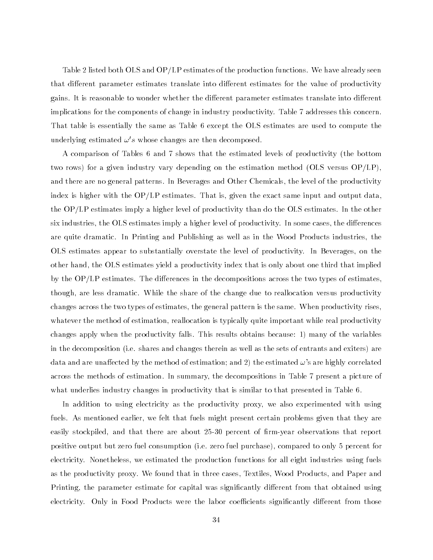Table 2 listed both OLS and OP/LP estimates of the production functions. We have already seen that different parameter estimates translate into different estimates for the value of productivity gains. It is reasonable to wonder whether the different parameter estimates translate into different implications for the components of change in industry productivity. Table 7 addresses this concern. That table is essentially the same as Table 6 except the OLS estimates are used to compute the underlying estimated  $\omega's$  whose changes are then decomposed.

A comparison of Tables 6 and 7 shows that the estimated levels of productivity (the bottom two rows) for a given industry vary depending on the estimation method (OLS versus OP/LP), and there are no general patterns. In Beverages and Other Chemicals, the level of the productivity index is higher with the  $OP/LP$  estimates. That is, given the exact same input and output data. the OP/LP estimates imply a higher level of productivity than do the OLS estimates. In the other six industries, the OLS estimates imply a higher level of productivity. In some cases, the differences are quite dramatic. In Printing and Publishing as well as in the Wood Products industries, the OLS estimates appear to substantially overstate the level of productivity. In Beverages, on the other hand, the OLS estimates yield a productivity index that is only about one third that implied by the  $OP/LP$  estimates. The differences in the decompositions across the two types of estimates. though, are less dramatic. While the share of the change due to reallocation versus productivity changes across the two types of estimates, the general pattern is the same. When productivity rises, whatever the method of estimation, reallocation is typically quite important while real productivity changes apply when the productivity falls. This results obtains because: 1) many of the variables in the decomposition (i.e. shares and changes therein as well as the sets of entrants and exiters) are data and are unaffected by the method of estimation; and 2) the estimated  $\omega$ 's are highly correlated across the methods of estimation. In summary, the decompositions in Table 7 present a picture of what underlies industry changes in productivity that is similar to that presented in Table 6.

In addition to using electricity as the productivity proxy, we also experimented with using fuels. As mentioned earlier, we felt that fuels might present certain problems given that they are easily stockpiled, and that there are about 25-30 percent of firm-year observations that report positive output but zero fuel consumption (i.e. zero fuel purchase), compared to only 5 percent for electricity. Nonetheless, we estimated the production functions for all eight industries using fuels as the productivity proxy. We found that in three cases, Textiles, Wood Products, and Paper and Printing, the parameter estimate for capital was significantly different from that obtained using electricity. Only in Food Products were the labor coefficients significantly different from those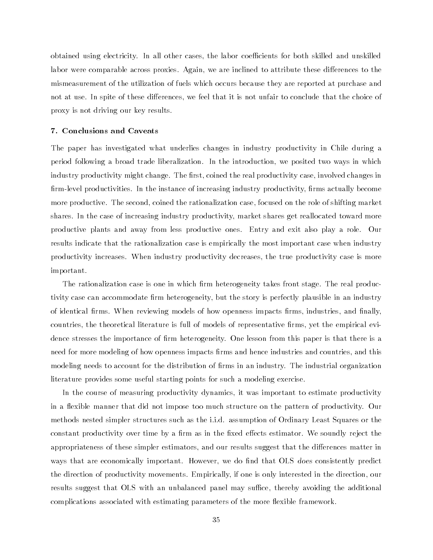obtained using electricity. In all other cases, the labor coefficients for both skilled and unskilled labor were comparable across proxies. Again, we are inclined to attribute these differences to the mismeasurement of the utilization of fuels which occurs because they are reported at purchase and not at use. In spite of these differences, we feel that it is not unfair to conclude that the choice of proxy is not driving our key results.

#### 7. Conclusions and Caveats

The paper has investigated what underlies changes in industry productivity in Chile during a period following a broad trade liberalization. In the introduction, we posited two ways in which industry productivity might change. The first, coined the real productivity case, involved changes in firm-level productivities. In the instance of increasing industry productivity, firms actually become more productive. The second, coined the rationalization case, focused on the role of shifting market shares. In the case of increasing industry productivity, market shares get reallocated toward more productive plants and away from less productive ones. Entry and exit also play a role. Our results indicate that the rationalization case is empirically the most important case when industry productivity increases. When industry productivity decreases, the true productivity case is more important.

The rationalization case is one in which firm heterogeneity takes front stage. The real productivity case can accommodate firm heterogeneity, but the story is perfectly plausible in an industry of identical firms. When reviewing models of how openness impacts firms, industries, and finally, countries, the theoretical literature is full of models of representative firms, yet the empirical evidence stresses the importance of firm heterogeneity. One lesson from this paper is that there is a need for more modeling of how openness impacts firms and hence industries and countries, and this modeling needs to account for the distribution of firms in an industry. The industrial organization literature provides some useful starting points for such a modeling exercise.

In the course of measuring productivity dynamics, it was important to estimate productivity in a flexible manner that did not impose too much structure on the pattern of productivity. Our methods nested simpler structures such as the i.i.d. assumption of Ordinary Least Squares or the constant productivity over time by a firm as in the fixed effects estimator. We soundly reject the appropriateness of these simpler estimators, and our results suggest that the differences matter in ways that are economically important. However, we do find that OLS does consistently predict the direction of productivity movements. Empirically, if one is only interested in the direction, our results suggest that OLS with an unbalanced panel may suffice, thereby avoiding the additional complications associated with estimating parameters of the more flexible framework.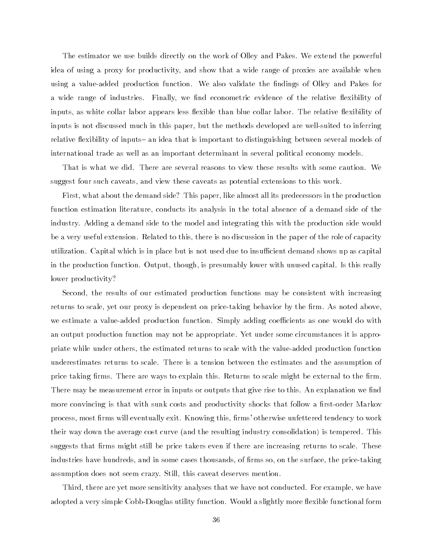The estimator we use builds directly on the work of Olley and Pakes. We extend the powerful idea of using a proxy for productivity, and show that a wide range of proxies are available when using a value-added production function. We also validate the findings of Olley and Pakes for a wide range of industries. Finally, we find econometric evidence of the relative flexibility of inputs, as white collar labor appears less flexible than blue collar labor. The relative flexibility of inputs is not discussed much in this paper, but the methods developed are well-suited to inferring relative flexibility of inputs- an idea that is important to distinguishing between several models of international trade as well as an important determinant in several political economy models.

That is what we did. There are several reasons to view these results with some caution. We suggest four such caveats, and view these caveats as potential extensions to this work.

First, what about the demand side? This paper, like almost all its predecessors in the production function estimation literature, conducts its analysis in the total absence of a demand side of the industry. Adding a demand side to the model and integrating this with the production side would be a very useful extension. Related to this, there is no discussion in the paper of the role of capacity utilization. Capital which is in place but is not used due to insucient demand shows up as capital in the production function. Output, though, is presumably lower with unused capital. Is this really lower productivity?

Second, the results of our estimated production functions may be consistent with increasing returns to scale, yet our proxy is dependent on price-taking behavior by the firm. As noted above, we estimate a value-added production function. Simply adding coefficients as one would do with an output production function may not be appropriate. Yet under some circumstances it is appropriate while under others, the estimated returns to scale with the value-added production function underestimates returns to scale. There is a tension between the estimates and the assumption of price taking firms. There are ways to explain this. Returns to scale might be external to the firm. There may be measurement error in inputs or outputs that give rise to this. An explanation we find more convincing is that with sunk costs and productivity shocks that follow a first-order Markov process, most firms will eventually exit. Knowing this, firms' otherwise unfettered tendency to work their way down the average cost curve (and the resulting industry consolidation) is tempered. This suggests that firms might still be price takers even if there are increasing returns to scale. These industries have hundreds, and in some cases thousands, of firms so, on the surface, the price-taking assumption does not seem crazy. Still, this caveat deserves mention.

Third, there are yet more sensitivity analyses that we have not conducted. For example, we have adopted a very simple Cobb-Douglas utility function. Would a slightly more flexible functional form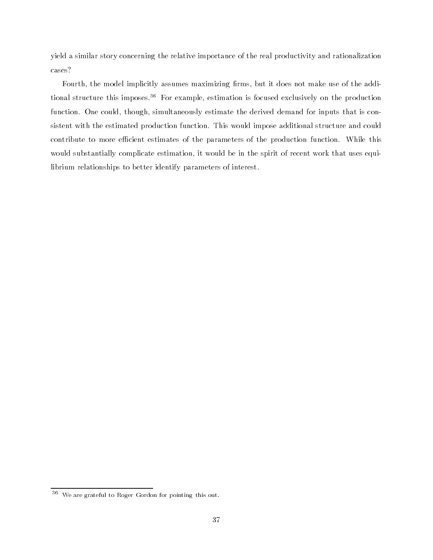yield a similar story concerning the relative importance of the real productivity and rationalization cases?

Fourth, the model implicitly assumes maximizing firms, but it does not make use of the additional structure this imposes.<sup>36</sup> For example, estimation is focused exclusively on the production function. One could, though, simultaneously estimate the derived demand for inputs that is consistent with the estimated production function. This would impose additional structure and could contribute to more efficient estimates of the parameters of the production function. While this would substantially complicate estimation, it would be in the spirit of recent work that uses equilibrium relationships to better identify parameters of interest.

<sup>36</sup> We are grateful to Roger Gordon for pointing this out.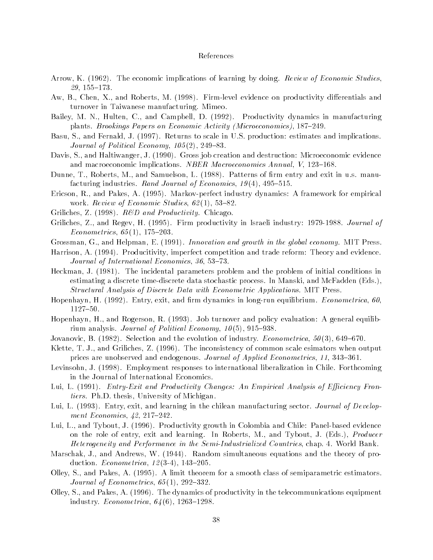#### References

- Arrow, K. (1962). The economic implications of learning by doing. Review of Economic Studies,  $29, 155{-}173.$
- Aw, B., Chen, X., and Roberts, M. (1998). Firm-level evidence on productivity differentials and turnover in Taiwanese manufacturing. Mimeo.
- Bailey, M. N., Hulten, C., and Campbell, D. (1992). Productivity dynamics in manufacturing plants. Brookings Papers on Economic Activity (Microeconomics), 187-249.
- Basu, S., and Fernald, J. (1997). Returns to scale in U.S. production: estimates and implications. Journal of Political Economy,  $105(2)$ ,  $249-83$ .
- Davis, S., and Haltiwanger, J. (1990). Gross job creation and destruction: Microeconomic evidence and macroeconomic implications. *NBER Macroeconomics Annual*,  $V$ , 123-168.
- Dunne, T., Roberts, M., and Samuelson, L. (1988). Patterns of firm entry and exit in u.s. manufacturing industries. Rand Journal of Economics,  $19(4)$ ,  $495-515$ .
- Ericson, R., and Pakes, A. (1995). Markov-perfect industry dynamics: A framework for empirical work. Review of Economic Studies,  $62(1)$ , 53-82.
- Griliches, Z. (1998).  $R\&D$  and Productivity. Chicago.
- Griliches, Z., and Regev, H. (1995). Firm productivity in Israeli industry: 1979-1988. Journal of Econometrics,  $65(1)$ , 175-203.
- Grossman, G., and Helpman, E. (1991). Innovation and growth in the global economy. MIT Press.
- Harrison, A. (1994). Producitivity, imperfect competition and trade reform: Theory and evidence. Journal of International Economics,  $36, 53-73$ .
- Heckman, J. (1981). The incidental parameters problem and the problem of initial conditions in estimating a discrete time-discrete data stochastic process. In Manski, and McFadden (Eds.), Structural Analysis of Discrete Data with Econometric Applications. MIT Press.
- Hopenhayn, H. (1992). Entry, exit, and firm dynamics in long-run equilibrium. *Econometrica*, 60, 1127-50.
- Hopenhayn, H., and Rogerson, R. (1993). Job turnover and policy evaluation: A general equilibrium analysis. Journal of Political Economy,  $10(5)$ , 915-938.
- Jovanovic, B. (1982). Selection and the evolution of industry. *Econometrica*,  $50(3)$ ,  $649-670$ .
- Klette, T. J., and Griliches, Z. (1996). The inconsistency of common scale esimators when output prices are unobserved and endogenous. Journal of Applied Econometrics, 11, 343–361.
- Levinsohn, J. (1998). Employment responses to international liberalization in Chile. Forthcoming in the Journal of International Economics.
- Lui, L. (1991). *Entry-Exit and Productivity Changes: An Empirical Analysis of Efficiency Fron*tiers. Ph.D. thesis, University of Michigan.
- Lui, L. (1993). Entry, exit, and learning in the chilean manufacturing sector. *Journal of Develop*ment Economics,  $42, 217{-}242$ .
- Lui, L., and Tybout, J. (1996). Productivity growth in Colombia and Chile: Panel-based evidence on the role of entry, exit and learning. In Roberts, M., and Tybout, J. (Eds.), Producer Heterogeneity and Performance in the Semi-Industrialized Countries, chap. 4. World Bank.
- Marschak, J., and Andrews, W. (1944). Random simultaneous equations and the theory of production. *Econometrica*,  $12(3-4)$ ,  $143-205$ .
- Olley, S., and Pakes, A. (1995). A limit theorem for a smooth class of semiparametric estimators. Journal of Econometrics,  $65(1)$ , 292-332.
- Olley, S., and Pakes, A. (1996). The dynamics of productivity in the telecommunications equipment industry. *Econometrica*,  $64(6)$ , 1263-1298.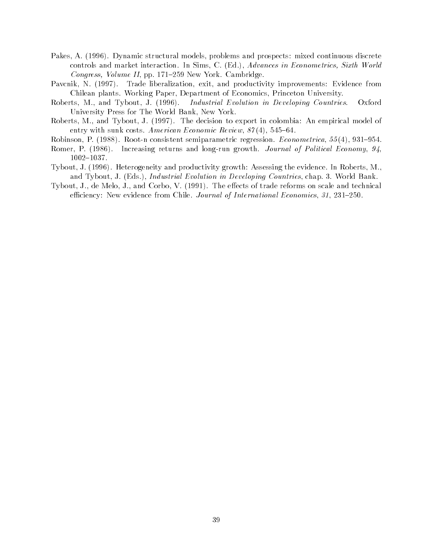- Pakes, A. (1996). Dynamic structural models, problems and prospects: mixed continuous discrete controls and market interaction. In Sims, C. (Ed.), Advances in Econometrics, Sixth World Congress, Volume II, pp. 171-259 New York. Cambridge.
- Pavcnik, N. (1997). Trade liberalization, exit, and productivity improvements: Evidence from Chilean plants. Working Paper, Department of Economics, Princeton University.
- Roberts, M., and Tybout, J. (1996). Industrial Evolution in Developing Countries. Oxford University Press for The World Bank, New York.
- Roberts, M., and Tybout, J. (1997). The decision to export in colombia: An empirical model of entry with sunk costs. American Economic Review,  $87(4)$ , 545-64.
- Robinson, P. (1988). Root-n consistent semiparametric regression. *Econometrica*,  $55(4)$ ,  $931-954$ .
- Romer, P. (1986). Increasing returns and long-run growth. Journal of Political Economy, 94, 1002-1037.
- Tybout, J. (1996). Heterogeneity and productivity growth: Assessing the evidence. In Roberts, M., and Tybout, J. (Eds.), Industrial Evolution in Developing Countries, chap. 3. World Bank.
- Tybout, J., de Melo, J., and Corbo, V. (1991). The effects of trade reforms on scale and technical efficiency: New evidence from Chile. Journal of International Economics, 31, 231-250.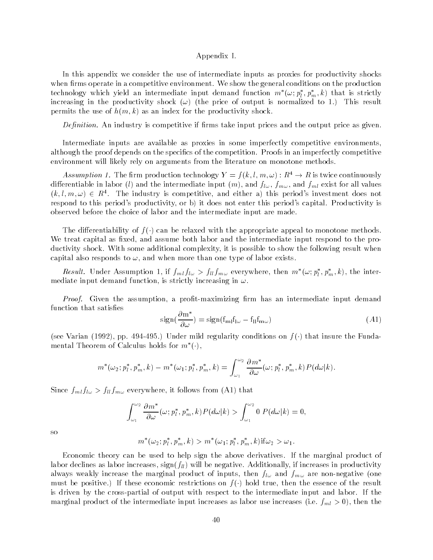#### Appendix I.

In this appendix we consider the use of intermediate inputs as proxies for productivity shocks when firms operate in a competitive environment. We show the general conditions on the production technology which yield an intermediate input demand function  $m_-(\omega; p_1, p_m, \kappa)$  that is strictly increasing in the productivity shock  $(\omega)$  (the price of output is normalized to 1.) This result permits the use of  $h(m, k)$  as an index for the productivity shock.

*Definition*. An industry is competitive if firms take input prices and the output price as given.

Intermediate inputs are available as proxies in some imperfectly competitive environments, although the proof depends on the specifics of the competition. Proofs in an imperfectly competitive environment will likely rely on arguments from the literature on monotone methods.

Assumption 1. The firm production technology  $Y = f(k, l, m, \omega)$  :  $K^+ \rightarrow K$  is twice continuously differentiable in labor (*l*) and the intermediate input  $(m)$ , and  $f_{l\omega}$ ,  $f_{m\omega}$ , and  $f_{ml}$  exist for all values  $(k, l, m, \omega) \in R<sup>4</sup>$ . The industry is competitive, and either a) this period's investment does not respond to this period's productivity, or b) it does not enter this period's capital. Productivity is observed before the choice of labor and the intermediate input are made.

The differentiability of  $f(\cdot)$  can be relaxed with the appropriate appeal to monotone methods. We treat capital as fixed, and assume both labor and the intermediate input respond to the productivity shock. With some additional complexity, it is possible to show the following result when capital also responds to  $\omega$ , and when more than one type of labor exists.

*Result.* Under Assumption 1, if  $J_{ml}J_{l\omega} > J_{ll}J_{m\omega}$  everywhere, then  $m_{-}(\omega; p_l, p_m, \kappa)$ , the intermediate input demand function, is strictly increasing in  $\omega$ .

Proof. Given the assumption, a profit-maximizing firm has an intermediate input demand function that satisfies

$$
\operatorname{sign}\left(\frac{\partial \mathbf{m}^*}{\partial \omega}\right) = \operatorname{sign}\left(\mathbf{f}_{\mathbf{m}} \mathbf{f}_{\mathbf{l}\omega} - \mathbf{f}_{\mathbf{l}} \mathbf{f}_{\mathbf{m}\omega}\right) \tag{A1}
$$

(see Varian (1992), pp. 494-495.) Under mild regularity conditions on  $f(\cdot)$  that insure the Fundamental Ineorem of Calculus holds for  $m$  (  $\cdot$  ),

$$
m^{*}(\omega_{2}; p_{l}^{*}, p_{m}^{*}, k) - m^{*}(\omega_{1}; p_{l}^{*}, p_{m}^{*}, k) = \int_{\omega_{1}}^{\omega_{2}} \frac{\partial m^{*}}{\partial \omega}(\omega; p_{l}^{*}, p_{m}^{*}, k) P(d\omega|k).
$$

Since  $f_{ml}f_{l\omega} > f_{ll}f_{m\omega}$  everywhere, it follows from (A1) that

$$
\int_{\omega_1}^{\omega_2} \frac{\partial m^*}{\partial \omega}(\omega; p_l^*, p_m^*, k) P(d\omega|k) > \int_{\omega_1}^{\omega_2} 0 P(d\omega|k) = 0,
$$

so

$$
m^*(\omega_2; p_l^*, p_m^*, k) > m^*(\omega_1; p_l^*, p_m^*, k) \text{if } \omega_2 > \omega_1.
$$

Economic theory can be used to help sign the above derivatives. If the marginal product of labor declines as labor increases,  $sign(f_{ll})$  will be negative. Additionally, if increases in productivity always weakly increase the marginal product of inputs, then  $f_{l\omega}$  and  $f_{m\omega}$  are non-negative (one must be positive.) If these economic restrictions on  $f(\cdot)$  hold true, then the essence of the result is driven by the cross-partial of output with respect to the intermediate input and labor. If the marginal product of the intermediate input increases as labor use increases (i.e.  $f_{ml} > 0$ ), then the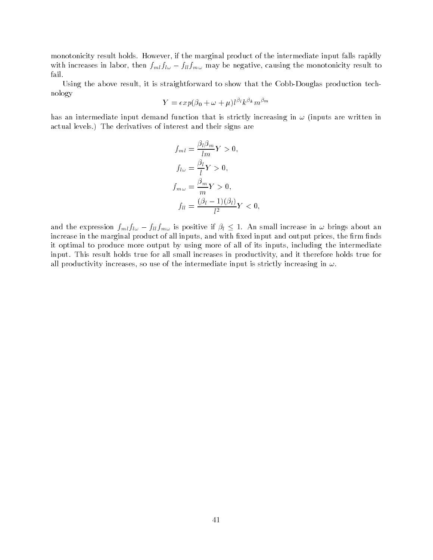monotonicity result holds. However, if the marginal product of the intermediate input falls rapidly with increases in labor, then  $f_{ml}f_{l\omega} - f_{ll}f_{m\omega}$  may be negative, causing the monotonicity result to fail.

Using the above result, it is straightforward to show that the Cobb-Douglas production technology

$$
Y=exp(\beta_0+\omega+\mu)l^{\beta_l}k^{\beta_k}m^{\beta_m}
$$

has an intermediate input demand function that is strictly increasing in  $\omega$  (inputs are written in actual levels.) The derivatives of interest and their signs are

$$
f_{ml} = \frac{\beta_l \beta_m}{lm} Y > 0,
$$
  
\n
$$
f_{l\omega} = \frac{\beta_l}{l} Y > 0,
$$
  
\n
$$
f_{m\omega} = \frac{\beta_m}{m} Y > 0,
$$
  
\n
$$
f_{ll} = \frac{(\beta_l - 1)(\beta_l)}{l^2} Y < 0,
$$

and the expression  $f_{ml} f_{l\omega} - f_{ll} f_{m\omega}$  is positive if  $\beta_l \leq 1$ . An small increase in  $\omega$  brings about an increase in the marginal product of all inputs, and with fixed input and output prices, the firm finds it optimal to produce more output by using more of all of its inputs, including the intermediate input. This result holds true for all small increases in productivity, and it therefore holds true for all productivity increases, so use of the intermediate input is strictly increasing in  $\omega$ .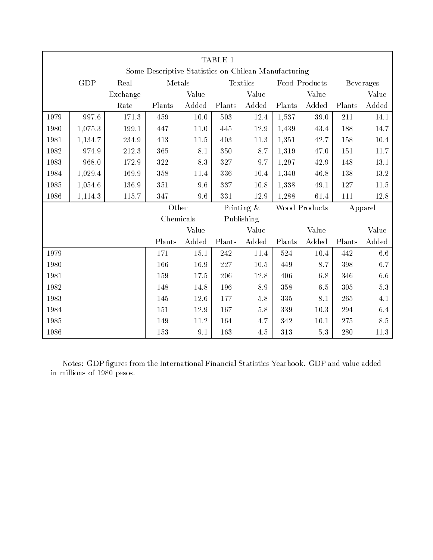| TABLE 1                                              |         |          |           |          |        |               |        |               |                  |                  |
|------------------------------------------------------|---------|----------|-----------|----------|--------|---------------|--------|---------------|------------------|------------------|
| Some Descriptive Statistics on Chilean Manufacturing |         |          |           |          |        |               |        |               |                  |                  |
|                                                      | GDP     | Real     | Metals    |          |        | Textiles      |        | Food Products | <b>Beverages</b> |                  |
|                                                      |         | Exchange |           | Value    |        | Value         |        | Value         |                  | Value            |
|                                                      |         | Rate     | Plants    | Added    | Plants | Added         | Plants | Added         | Plants           | Added            |
| 1979                                                 | 997.6   | 171.3    | 459       | 10.0     | 503    | 12.4          | 1,537  | 39.0          | 211              | 14.1             |
| 1980                                                 | 1,075.3 | 199.1    | 447       | 11.0     | 445    | 12.9          | 1,439  | 43.4          | 188              | 14.7             |
| 1981                                                 | 1,134.7 | 234.9    | 413       | 11.5     | 403    | 11.3          | 1,351  | 42.7          | 158              | 10.4             |
| 1982                                                 | 974.9   | 212.3    | 365       | 8.1      | 350    | 8.7           | 1,319  | 47.0          | 151              | 11.7             |
| 1983                                                 | 968.0   | 172.9    | 322       | 8.3      | 327    | 9.7           | 1,297  | 42.9          | 148              | 13.1             |
| 1984                                                 | 1,029.4 | 169.9    | 358       | 11.4     | 336    | 10.4          | 1,340  | 46.8          | 138              | 13.2             |
| 1985                                                 | 1,054.6 | 136.9    | 351       | 9.6      | 337    | $10.8\,$      | 1,338  | 49.1          | 127              | 11.5             |
| 1986                                                 | 1,114.3 | 115.7    | 347       | 9.6      | 331    | 12.9          | 1,288  | 61.4          | 111              | 12.8             |
|                                                      |         |          | Other     |          |        | Printing $\&$ |        | Wood Products |                  | Apparel          |
|                                                      |         |          | Chemicals |          |        | Publishing    |        |               |                  |                  |
|                                                      |         |          |           | Value    |        | Value         |        | Value         |                  | Value            |
|                                                      |         |          | Plants    | Added    | Plants | Added         | Plants | Added         | Plants           | Added            |
| 1979                                                 |         |          | 171       | 15.1     | 242    | 11.4          | 524    | $10.4\,$      | 442              | $6.6\,$          |
| 1980                                                 |         |          | 166       | $16.9\,$ | 227    | $10.5\,$      | 449    | 8.7           | 398              | $6.7\,$          |
| 1981                                                 |         |          | 159       | 17.5     | 206    | 12.8          | 406    | 6.8           | 346              | $6.6\,$          |
| 1982                                                 |         |          | 148       | 14.8     | 196    | $8.9\,$       | 358    | $6\,.5$       | 305              | $5\,.3$          |
| 1983                                                 |         |          | 145       | 12.6     | 177    | 5.8           | 335    | $8.1\,$       | 265              | $4.1\,$          |
| 1984                                                 |         |          | 151       | 12.9     | 167    | $5.8\,$       | 339    | $10.3\,$      | 294              | $6\,\mathcal{A}$ |
| 1985                                                 |         |          | 149       | 11.2     | 164    | 4.7           | 342    | 10.1          | 275              | $8.5\,$          |
| 1986                                                 |         |          | 153       | 9.1      | 163    | $4.5\,$       | 313    | $5.3\,$       | 280              | 11.3             |

Notes: GDP figures from the International Financial Statistics Yearbook. GDP and value added in millions of 1980 pesos.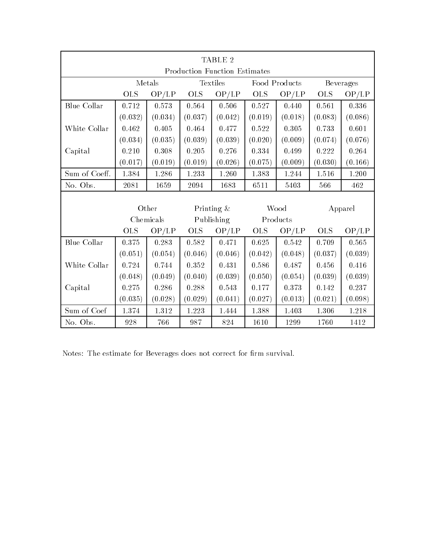| TABLE 2                              |                    |           |            |            |               |           |                  |           |  |
|--------------------------------------|--------------------|-----------|------------|------------|---------------|-----------|------------------|-----------|--|
| <b>Production Function Estimates</b> |                    |           |            |            |               |           |                  |           |  |
|                                      | Textiles<br>Metals |           |            |            | Food Products |           | <b>Beverages</b> |           |  |
|                                      | <b>OLS</b>         | OP/LP     | <b>OLS</b> | OP/LP      | OLS           | OP/LP     | <b>OLS</b>       | OP/LP     |  |
| <b>Blue Collar</b>                   | 0.712              | 0.573     | 0.564      | $0.506\,$  | 0.527         | 0.440     | 0.561            | 0.336     |  |
|                                      | (0.032)            | (0.034)   | (0.037)    | (0.042)    | (0.019)       | (0.018)   | (0.083)          | (0.086)   |  |
| White Collar                         | 0.462              | 0.405     | 0.464      | 0.477      | 0.522         | $0.305\,$ | 0.733            | 0.601     |  |
|                                      | (0.034)            | (0.035)   | (0.039)    | (0.039)    | (0.020)       | (0.009)   | (0.074)          | (0.076)   |  |
| Capital                              | 0.210              | $0.308\,$ | $0.205\,$  | $0.276\,$  | $\,0.334\,$   | 0.499     | 0.222            | $0.264\,$ |  |
|                                      | (0.017)            | (0.019)   | (0.019)    | (0.026)    | (0.075)       | (0.009)   | (0.030)          | (0.166)   |  |
| Sum of Coeff.                        | 1.384              | 1.286     | 1.233      | 1.260      | 1.383         | 1.244     | 1.516            | 1.200     |  |
| No. Obs.                             | 2081               | 1659      | 2094       | 1683       | 6511          | 5403      | 566              | 462       |  |
|                                      |                    |           |            |            |               |           |                  |           |  |
|                                      |                    | Other     |            | Printing & | Wood          |           | Apparel          |           |  |
|                                      |                    | Chemicals |            | Publishing | Products      |           |                  |           |  |
|                                      | <b>OLS</b>         | OP/LP     | <b>OLS</b> | OP/LP      | <b>OLS</b>    | OP/LP     | <b>OLS</b>       | OP/LP     |  |
| <b>Blue Collar</b>                   | 0.375              | 0.283     | 0.582      | 0.471      | 0.625         | 0.542     | 0.709            | 0.565     |  |
|                                      | (0.051)            | (0.054)   | (0.046)    | (0.046)    | (0.042)       | (0.048)   | (0.037)          | (0.039)   |  |
| White Collar                         | 0.724              | 0.744     | 0.352      | 0.431      | 0.586         | 0.487     | 0.456            | 0.416     |  |
|                                      | (0.048)            | (0.049)   | (0.040)    | (0.039)    | (0.050)       | (0.054)   | (0.039)          | (0.039)   |  |
| Capital                              | 0.275              | 0.286     | 0.288      | 0.543      | 0.177         | 0.373     | 0.142            | 0.237     |  |
|                                      | (0.035)            | (0.028)   | (0.029)    | (0.041)    | (0.027)       | (0.013)   | (0.021)          | (0.098)   |  |
| Sum of Coef                          | 1.374              | 1.312     | 1.223      | 1.444      | 1.388         | 1.403     | 1.306            | 1.218     |  |
| No. Obs.                             | 928                | 766       | 987        | 824        | 1610          | 1299      | 1760             | 1412      |  |

Notes: The estimate for Beverages does not correct for firm survival.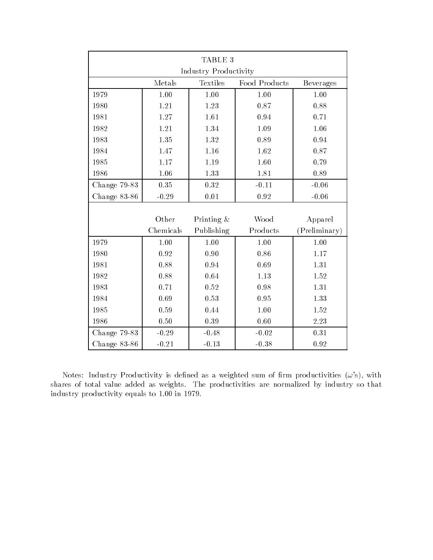| TABLE 3      |                       |               |               |                  |  |  |  |  |  |  |
|--------------|-----------------------|---------------|---------------|------------------|--|--|--|--|--|--|
|              | Industry Productivity |               |               |                  |  |  |  |  |  |  |
|              | Metals                | Textiles      | Food Products | <b>Beverages</b> |  |  |  |  |  |  |
| 1979         | 1.00                  | 1.00          | 1.00          | 1.00             |  |  |  |  |  |  |
| 1980         | 1.21                  | 1.23          | 0.87          | 0.88             |  |  |  |  |  |  |
| 1981         | 1.27                  | 1.61          | 0.94          | 0.71             |  |  |  |  |  |  |
| 1982         | 1.21                  | 1.34          | 1.09          | 1.06             |  |  |  |  |  |  |
| 1983         | 1.35                  | 1.32          | 0.89          | 0.94             |  |  |  |  |  |  |
| 1984         | 1.47                  | 1.16          | 1.62          | 0.87             |  |  |  |  |  |  |
| 1985         | 1.17                  | 1.19          | 1.60          | 0.79             |  |  |  |  |  |  |
| 1986         | 1.06                  | 1.33          | 1.81          | 0.89             |  |  |  |  |  |  |
| Change 79-83 | $0.35\,$              | 0.32          | $-0.11$       | $-0.06$          |  |  |  |  |  |  |
| Change 83-86 | $-0.29$               | 0.01          | 0.92          | $-0.06$          |  |  |  |  |  |  |
|              |                       |               |               |                  |  |  |  |  |  |  |
|              | Other                 | Printing $\&$ | Wood          | Apparel          |  |  |  |  |  |  |
|              | Chemicals             | Publishing    | Products      | (Preliminary)    |  |  |  |  |  |  |
| 1979         | 1.00                  | 1.00          | 1.00          | 1.00             |  |  |  |  |  |  |
| 1980         | 0.92                  | 0.90          | 0.86          | 1.17             |  |  |  |  |  |  |
| 1981         | 0.88                  | 0.94          | 0.69          | 1.31             |  |  |  |  |  |  |
| 1982         | 0.88                  | 0.64          | 1.13          | 1.52             |  |  |  |  |  |  |
| 1983         | 0.71                  | 0.52          | 0.98          | 1.31             |  |  |  |  |  |  |
| 1984         | 0.69                  | 0.53          | 0.95          | 1.33             |  |  |  |  |  |  |
| 1985         | 0.59                  | 0.44          | 1.00          | 1.52             |  |  |  |  |  |  |
| 1986         | 0.50                  | 0.39          | 0.60          | 2.23             |  |  |  |  |  |  |
| Change 79-83 | $-0.29$               | $-0.48$       | $-0.02$       | 0.31             |  |  |  |  |  |  |
| Change 83-86 | $-0.21$               | $-0.13$       | $-0.38$       | 0.92             |  |  |  |  |  |  |

Notes: Industry Productivity is defined as a weighted sum of firm productivities  $(\omega)$ , with shares of total value added as weights. The productivities are normalized by industry so that industry productivity equals to 1.00 in 1979.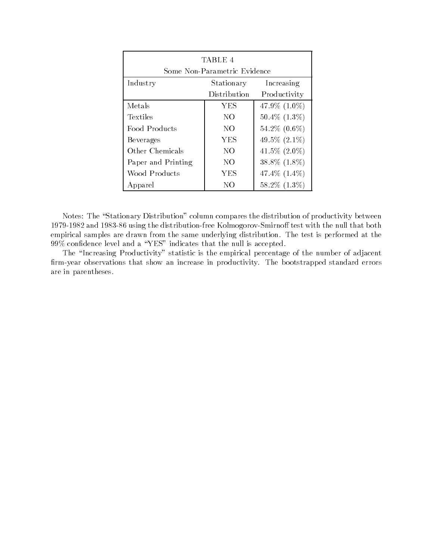| TABLE 4                      |            |                    |  |  |  |  |  |  |
|------------------------------|------------|--------------------|--|--|--|--|--|--|
| Some Non-Parametric Evidence |            |                    |  |  |  |  |  |  |
| Industry                     | Stationary | Increasing         |  |  |  |  |  |  |
| Distribution<br>Productivity |            |                    |  |  |  |  |  |  |
| Metals                       | <b>YES</b> | 47.9\% $(1.0\%)$   |  |  |  |  |  |  |
| Textiles                     | NO.        | $50.4\%$ $(1.3\%)$ |  |  |  |  |  |  |
| Food Products                | NO         | 54.2\% $(0.6\%)$   |  |  |  |  |  |  |
| Beverages                    | YES        | 49.5\% $(2.1\%)$   |  |  |  |  |  |  |
| Other Chemicals              | NO         | 41.5\% $(2.0\%)$   |  |  |  |  |  |  |
| Paper and Printing           | NO         | $38.8\%$ $(1.8\%)$ |  |  |  |  |  |  |
| Wood Products                | YES        | 47.4\% $(1.4\%)$   |  |  |  |  |  |  |
| Apparel                      | NO         | $58.2\%$ $(1.3\%)$ |  |  |  |  |  |  |

Notes: The "Stationary Distribution" column compares the distribution of productivity between 1979-1982 and 1983-86 using the distribution-free Kolmogorov-Smirnoff test with the null that both empirical samples are drawn from the same underlying distribution. The test is performed at the  $99\%$  confidence level and a "YES" indicates that the null is accepted.

The "Increasing Productivity" statistic is the empirical percentage of the number of adjacent firm-year observations that show an increase in productivity. The bootstrapped standard errors are in parentheses.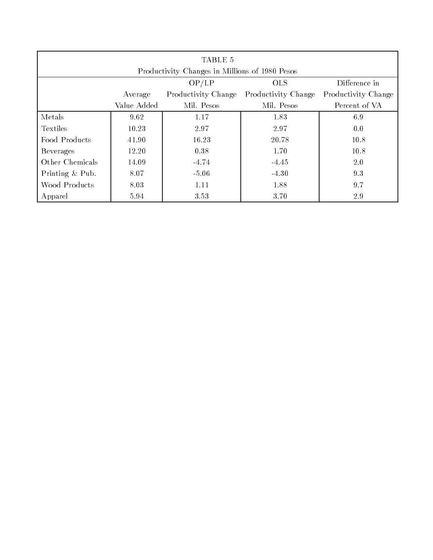| TABLE 5                                                                      |             |            |            |               |  |  |  |  |  |  |
|------------------------------------------------------------------------------|-------------|------------|------------|---------------|--|--|--|--|--|--|
| Productivity Changes in Millions of 1980 Pesos                               |             |            |            |               |  |  |  |  |  |  |
| OP/LP<br><b>OLS</b><br>Difference in                                         |             |            |            |               |  |  |  |  |  |  |
| Productivity Change<br>Productivity Change<br>Productivity Change<br>Average |             |            |            |               |  |  |  |  |  |  |
|                                                                              | Value Added | Mil. Pesos | Mil. Pesos | Percent of VA |  |  |  |  |  |  |
| Metals                                                                       | 9.62        | 1.17       | 1.83       | 6.9           |  |  |  |  |  |  |
| Textiles                                                                     | 10.23       | 2.97       | 2.97       | 0.0           |  |  |  |  |  |  |
| Food Products                                                                | 41.90       | 16.23      | 20.78      | 10.8          |  |  |  |  |  |  |
| <b>Beverages</b>                                                             | 12.20       | 0.38       | 1.70       | 10.8          |  |  |  |  |  |  |
| Other Chemicals                                                              | 14.09       | $-4.74$    | $-4.45$    | 2.0           |  |  |  |  |  |  |
| Printing & Pub.                                                              | 8.07        | $-5.06$    | $-4.30$    | 9.3           |  |  |  |  |  |  |
| Wood Products                                                                | 8.03        | 1.11       | 1.88       | 9.7           |  |  |  |  |  |  |
| Apparel                                                                      | 5.94        | 3.53       | 3.70       | 2.9           |  |  |  |  |  |  |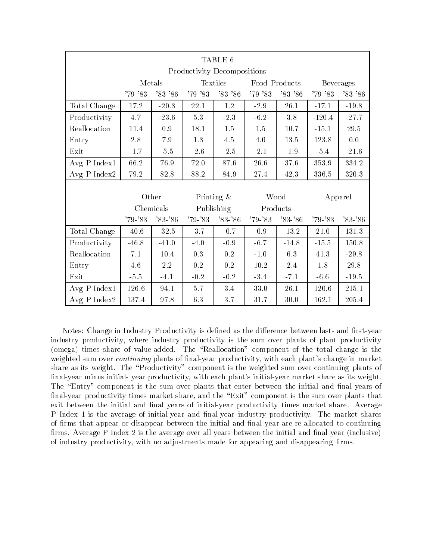| TABLE 6                     |             |             |               |                           |             |           |             |                  |  |  |
|-----------------------------|-------------|-------------|---------------|---------------------------|-------------|-----------|-------------|------------------|--|--|
| Productivity Decompositions |             |             |               |                           |             |           |             |                  |  |  |
|                             | Metals      |             |               | Textiles<br>Food Products |             |           |             | <b>Beverages</b> |  |  |
|                             | $'79 - '83$ | $'83 - '86$ | $'79 - '83$   | $83 - 86$                 | $79 - 83$   | $83 - 86$ | $'79 - '83$ | $'83 - '86$      |  |  |
| Total Change                | 17.2        | $-20.3$     | 22.1          | 1.2                       | $-2.9$      | 26.1      | $-17.1$     | $-19.8$          |  |  |
| Productivity                | 4.7         | $-23.6$     | 5.3           | $-2.3$                    | $-6.2$      | $3.8\,$   | $-120.4$    | $-27.7$          |  |  |
| Reallocation                | 11.4        | 0.9         | 18.1          | 1.5                       | 1.5         | 10.7      | $-15.1$     | 29.5             |  |  |
| Entry                       | 2.8         | $7.9\,$     | 1.3           | 4.5                       | 4.0         | 13.5      | 123.8       | 0.0              |  |  |
| Exit                        | $-1.7$      | $-5.5$      | $-2.6$        | $-2.5$                    | $-2.1$      | $-1.9$    | $-5.4$      | $-21.6$          |  |  |
| Avg P Index1                | 66.2        | 76.9        | 72.0          | 87.6                      | 26.6        | 37.6      | 353.9       | 334.2            |  |  |
| Avg P Index2                | 79.2        | 82.8        | 88.2          | 84.9                      | 27.4        | 42.3      | 336.5       | 320.3            |  |  |
|                             |             |             |               |                           |             |           |             |                  |  |  |
|                             | Other       |             | Printing $\&$ |                           | Wood        |           | Apparel     |                  |  |  |
|                             | Chemicals   |             |               | Publishing                | Products    |           |             |                  |  |  |
|                             | $79 - 83$   | $'83 - '86$ | $'79 - '83$   | $83 - 86$                 | $'79 - '83$ | $83 - 86$ | $'79 - '83$ | $'83 - '86$      |  |  |
| Total Change                | $-40.6$     | $-32.5$     | $-3.7$        | $-0.7$                    | $-0.9$      | $-13.2$   | 21.0        | 131.3            |  |  |
| Productivity                | $-46.8$     | $-41.0$     | $-4.0$        | $-0.9$                    | $-6.7$      | $-14.8$   | $-15.5$     | 150.8            |  |  |
| Reallocation                | 7.1         | 10.4        | 0.3           | 0.2                       | $-1.0$      | 6.3       | 41.3        | $-29.8$          |  |  |
| Entry                       | 4.6         | $2.2\,$     | 0.2           | $0.2\,$                   | $10.2\,$    | 2.4       | 1.8         | 29.8             |  |  |
| Exit                        | $-5.5$      | $-4.1$      | $-0.2$        | $-0.2$                    | $-3.4$      | $-7.1$    | $-6.6$      | $-19.5$          |  |  |
| Avg P Index1                | $126.6\,$   | 94.1        | $5.7\,$       | 3.4                       | $33.0\,$    | 26.1      | 120.6       | 215.1            |  |  |
| $Avg$ P Index2              | 137.4       | 97.8        | 6.3           | 3.7                       | 31.7        | 30.0      | 162.1       | 205.4            |  |  |

Notes: Change in Industry Productivity is defined as the difference between last- and first-year industry productivity, where industry productivity is the sum over plants of plant productivity (omega) times share of value-added. The "Reallocation" component of the total change is the weighted sum over *continuing* plants of final-year productivity, with each plant's change in market share as its weight. The "Productivity" component is the weighted sum over continuing plants of final-year minus initial-year productivity, with each plant's initial-year market share as its weight. The "Entry" component is the sum over plants that enter between the initial and final years of final-year productivity times market share, and the "Exit" component is the sum over plants that exit between the initial and final years of initial-year productivity times market share. Average P Index 1 is the average of initial-year and final-year industry productivity. The market shares of firms that appear or disappear between the initial and final year are re-allocated to continuing firms. Average P Index 2 is the average over all years between the initial and final year (inclusive) of industry productivity, with no adjustments made for appearing and disappearing firms.